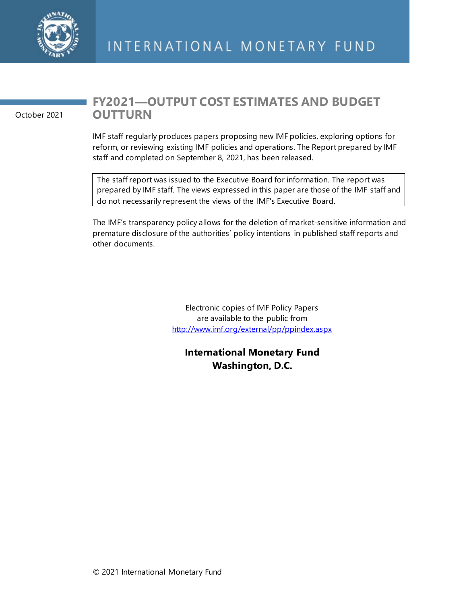

October 2021

# **FY2021—OUTPUT COST ESTIMATES AND BUDGET OUTTURN**

IMF staff regularly produces papers proposing new IMF policies, exploring options for reform, or reviewing existing IMF policies and operations. The Report prepared by IMF staff and completed on September 8, 2021, has been released.

The staff report was issued to the Executive Board for information. The report was prepared by IMF staff. The views expressed in this paper are those of the IMF staff and do not necessarily represent the views of the IMF's Executive Board.

The IMF's transparency policy allows for the deletion of market-sensitive information and premature disclosure of the authorities' policy intentions in published staff reports and other documents.

> Electronic copies of IMF Policy Papers are available to the public from <http://www.imf.org/external/pp/ppindex.aspx>

**International Monetary Fund Washington, D.C.**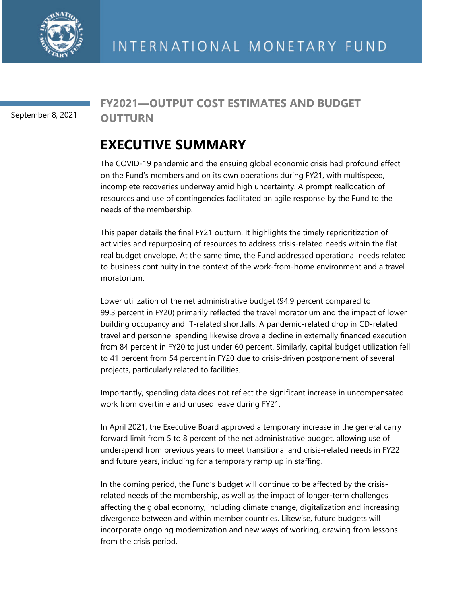

September 8, 2021

# **FY2021—OUTPUT COST ESTIMATES AND BUDGET OUTTURN**

# **EXECUTIVE SUMMARY**

The COVID-19 pandemic and the ensuing global economic crisis had profound effect on the Fund's members and on its own operations during FY21, with multispeed, incomplete recoveries underway amid high uncertainty. A prompt reallocation of resources and use of contingencies facilitated an agile response by the Fund to the needs of the membership.

This paper details the final FY21 outturn. It highlights the timely reprioritization of activities and repurposing of resources to address crisis-related needs within the flat real budget envelope. At the same time, the Fund addressed operational needs related to business continuity in the context of the work-from-home environment and a travel moratorium.

Lower utilization of the net administrative budget (94.9 percent compared to 99.3 percent in FY20) primarily reflected the travel moratorium and the impact of lower building occupancy and IT-related shortfalls. A pandemic-related drop in CD-related travel and personnel spending likewise drove a decline in externally financed execution from 84 percent in FY20 to just under 60 percent. Similarly, capital budget utilization fell to 41 percent from 54 percent in FY20 due to crisis-driven postponement of several projects, particularly related to facilities.

Importantly, spending data does not reflect the significant increase in uncompensated work from overtime and unused leave during FY21.

In April 2021, the Executive Board approved a temporary increase in the general carry forward limit from 5 to 8 percent of the net administrative budget, allowing use of underspend from previous years to meet transitional and crisis-related needs in FY22 and future years, including for a temporary ramp up in staffing.

In the coming period, the Fund's budget will continue to be affected by the crisisrelated needs of the membership, as well as the impact of longer-term challenges affecting the global economy, including climate change, digitalization and increasing divergence between and within member countries. Likewise, future budgets will incorporate ongoing modernization and new ways of working, drawing from lessons from the crisis period.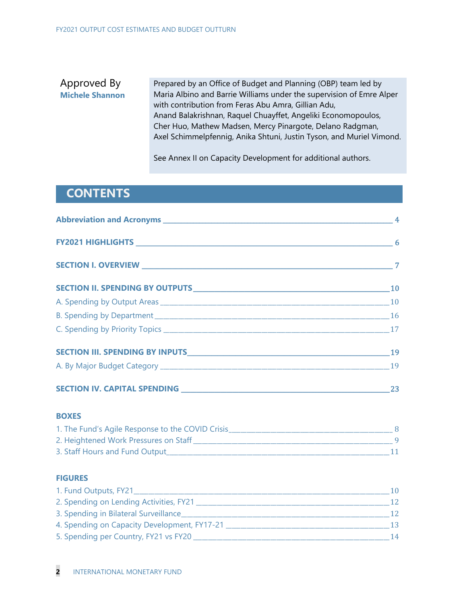# Approved By **Michele Shannon**

Prepared by an Office of Budget and Planning (OBP) team led by Maria Albino and Barrie Williams under the supervision of Emre Alper with contribution from Feras Abu Amra, Gillian Adu, Anand Balakrishnan, Raquel Chuayffet, Angeliki Economopoulos, Cher Huo, Mathew Madsen, Mercy Pinargote, Delano Radgman, Axel Schimmelpfennig, Anika Shtuni, Justin Tyson, and Muriel Vimond.

See Annex II on Capacity Development for additional authors.

# **CONTENTS**

|                                                                                                                                                                                                                               | $\sim$ 6 $\sim$ 6 |
|-------------------------------------------------------------------------------------------------------------------------------------------------------------------------------------------------------------------------------|-------------------|
|                                                                                                                                                                                                                               |                   |
|                                                                                                                                                                                                                               | <b>10</b>         |
|                                                                                                                                                                                                                               |                   |
| B. Spending by Department 16 and 16 and 16 and 16 and 16 and 16 and 16 and 16 and 16 and 16 and 16 and 16 and 16 and 16 and 16 and 16 and 16 and 16 and 16 and 16 and 16 and 16 and 16 and 16 and 16 and 16 and 16 and 16 and |                   |
|                                                                                                                                                                                                                               |                   |
|                                                                                                                                                                                                                               | 19                |
|                                                                                                                                                                                                                               |                   |
|                                                                                                                                                                                                                               | 23                |

## **BOXES**

| 1. The Fund's Agile Response to the COVID Crisis |  |
|--------------------------------------------------|--|
| 2. Heightened Work Pressures on Staff            |  |
| 3. Staff Hours and Fund Output                   |  |

# **FIGURES**

| 1. Fund Outputs, FY21                        | 10 |
|----------------------------------------------|----|
| 2. Spending on Lending Activities, FY21      | 12 |
| 3. Spending in Bilateral Surveillance        | 12 |
| 4. Spending on Capacity Development, FY17-21 | 13 |
| 5. Spending per Country, FY21 vs FY20        | 14 |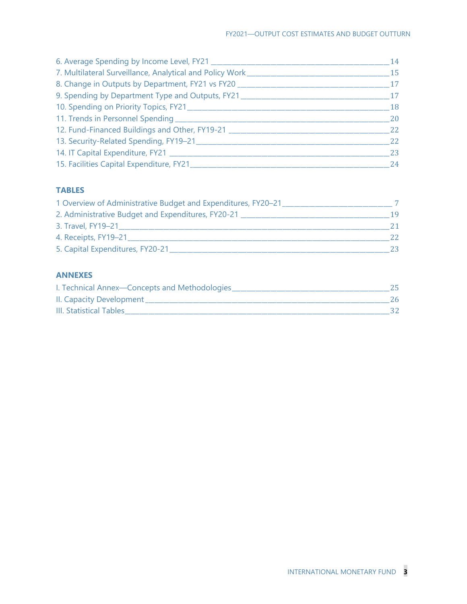| 6. Average Spending by Income Level, FY21                | 14 |
|----------------------------------------------------------|----|
| 7. Multilateral Surveillance, Analytical and Policy Work | 15 |
| 8. Change in Outputs by Department, FY21 vs FY20         | 17 |
| 9. Spending by Department Type and Outputs, FY21         | 17 |
| 10. Spending on Priority Topics, FY21                    | 18 |
| 11. Trends in Personnel Spending __________              | 20 |
| 12. Fund-Financed Buildings and Other, FY19-21           | 22 |
| 13. Security-Related Spending, FY19-21                   | 22 |
| 14. IT Capital Expenditure, FY21 _______                 | 23 |
| 15. Facilities Capital Expenditure, FY21_____            | 24 |

# **TABLES**

| 1 Overview of Administrative Budget and Expenditures, FY20-21 |    |
|---------------------------------------------------------------|----|
| 2. Administrative Budget and Expenditures, FY20-21            | 19 |
| 3. Travel, FY19-21                                            | 21 |
| 4. Receipts, FY19-21                                          | 22 |
| 5. Capital Expenditures, FY20-21                              | 23 |

# **ANNEXES**

| I. Technical Annex-Concepts and Methodologies |  |
|-----------------------------------------------|--|
| II. Capacity Development_                     |  |
| <b>III. Statistical Tables</b>                |  |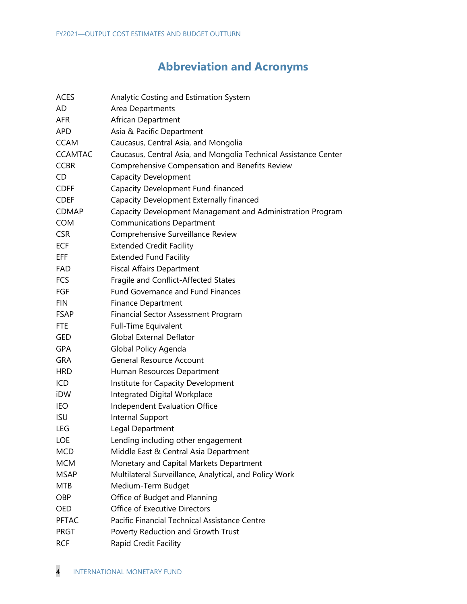# **Abbreviation and Acronyms**

| <b>ACES</b>    | Analytic Costing and Estimation System                           |
|----------------|------------------------------------------------------------------|
| AD             | Area Departments                                                 |
| <b>AFR</b>     | African Department                                               |
| <b>APD</b>     | Asia & Pacific Department                                        |
| <b>CCAM</b>    | Caucasus, Central Asia, and Mongolia                             |
| <b>CCAMTAC</b> | Caucasus, Central Asia, and Mongolia Technical Assistance Center |
| <b>CCBR</b>    | Comprehensive Compensation and Benefits Review                   |
| CD             | <b>Capacity Development</b>                                      |
| <b>CDFF</b>    | Capacity Development Fund-financed                               |
| <b>CDEF</b>    | Capacity Development Externally financed                         |
| CDMAP          | Capacity Development Management and Administration Program       |
| <b>COM</b>     | <b>Communications Department</b>                                 |
| <b>CSR</b>     | Comprehensive Surveillance Review                                |
| ECF            | <b>Extended Credit Facility</b>                                  |
| EFF.           | <b>Extended Fund Facility</b>                                    |
| FAD            | <b>Fiscal Affairs Department</b>                                 |
| <b>FCS</b>     | Fragile and Conflict-Affected States                             |
| FGF            | <b>Fund Governance and Fund Finances</b>                         |
| <b>FIN</b>     | <b>Finance Department</b>                                        |
| <b>FSAP</b>    | Financial Sector Assessment Program                              |
| <b>FTE</b>     | <b>Full-Time Equivalent</b>                                      |
| GED            | <b>Global External Deflator</b>                                  |
| <b>GPA</b>     | Global Policy Agenda                                             |
| <b>GRA</b>     | <b>General Resource Account</b>                                  |
| <b>HRD</b>     | Human Resources Department                                       |
| ICD            | Institute for Capacity Development                               |
| iDW            | Integrated Digital Workplace                                     |
| IEO            | Independent Evaluation Office                                    |
| <b>ISU</b>     | Internal Support                                                 |
| LEG            | Legal Department                                                 |
| LOE            | Lending including other engagement                               |
| MCD            | Middle East & Central Asia Department                            |
| <b>MCM</b>     | Monetary and Capital Markets Department                          |
| MSAP           | Multilateral Surveillance, Analytical, and Policy Work           |
| <b>MTB</b>     | Medium-Term Budget                                               |
| OBP            | Office of Budget and Planning                                    |
| OED            | Office of Executive Directors                                    |
| <b>PFTAC</b>   | Pacific Financial Technical Assistance Centre                    |
| <b>PRGT</b>    | Poverty Reduction and Growth Trust                               |
| <b>RCF</b>     | Rapid Credit Facility                                            |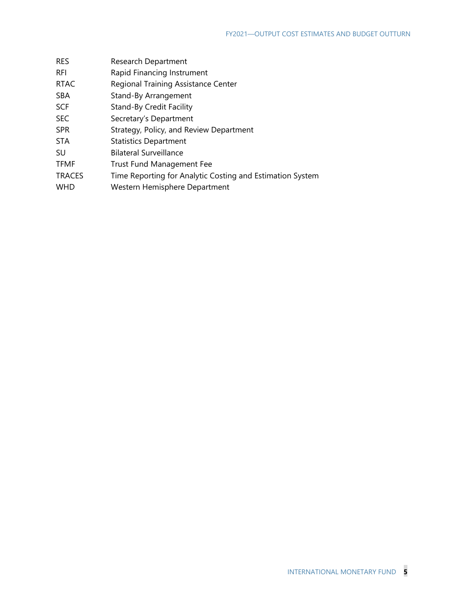| <b>RES</b>    | Research Department                                       |
|---------------|-----------------------------------------------------------|
| <b>RFI</b>    | Rapid Financing Instrument                                |
| <b>RTAC</b>   | Regional Training Assistance Center                       |
| <b>SBA</b>    | Stand-By Arrangement                                      |
| <b>SCF</b>    | Stand-By Credit Facility                                  |
| <b>SEC</b>    | Secretary's Department                                    |
| <b>SPR</b>    | Strategy, Policy, and Review Department                   |
| <b>STA</b>    | <b>Statistics Department</b>                              |
| SU            | <b>Bilateral Surveillance</b>                             |
| <b>TFMF</b>   | <b>Trust Fund Management Fee</b>                          |
| <b>TRACES</b> | Time Reporting for Analytic Costing and Estimation System |
| <b>WHD</b>    | Western Hemisphere Department                             |
|               |                                                           |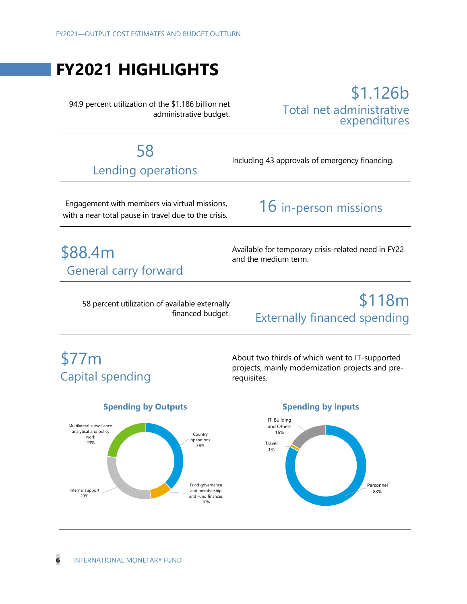# **FY2021 HIGHLIGHTS**

94.9 percent utilization of the \$1.186 billion net administrative budget.

# \$1.126b Total net administrative expenditures

# 58 Lending operations

Including 43 approvals of emergency financing.

 Engagement with members via virtual missions, with a near total pause in travel due to the crisis.

# 16 in-person missions

# \$88.4m General carry forward

Available for temporary crisis-related need in FY22 and the medium term.

58 percent utilization of available externally financed budget.

# \$118m Externally financed spending

# \$77m Capital spending

About two thirds of which went to IT-supported projects, mainly modernization projects and prerequisites.

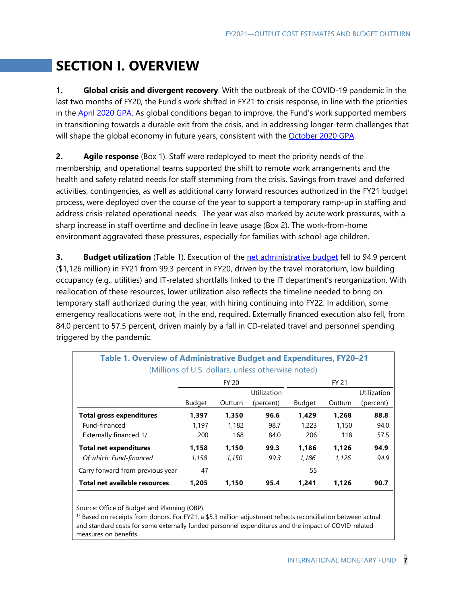# **SECTION I. OVERVIEW**

**1. Global crisis and divergent recovery**. With the outbreak of the COVID-19 pandemic in the last two months of FY20, the Fund's work shifted in FY21 to crisis response, in line with the priorities in the **April 2020 GPA**. As global conditions began to improve, the Fund's work supported members in transitioning towards a durable exit from the crisis, and in addressing longer-term challenges that will shape the global economy in future years, consistent with the October 2020 GPA.

**2. Agile response** (Box 1). Staff were redeployed to meet the priority needs of the membership, and operational teams supported the shift to remote work arrangements and the health and safety related needs for staff stemming from the crisis. Savings from travel and deferred activities, contingencies, as well as additional carry forward resources authorized in the FY21 budget process, were deployed over the course of the year to support a temporary ramp-up in staffing and address crisis-related operational needs. The year was also marked by acute work pressures, with a sharp increase in staff overtime and decline in leave usage (Box 2). The work-from-home environment aggravated these pressures, especially for families with school-age children.

**3. Budget utilization** (Table 1). Execution of the net administrative budget fell to 94.9 percent (\$1,126 million) in FY21 from 99.3 percent in FY20, driven by the travel moratorium, low building occupancy (e.g., utilities) and IT-related shortfalls linked to the IT department's reorganization. With reallocation of these resources, lower utilization also reflects the timeline needed to bring on temporary staff authorized during the year, with hiring continuing into FY22. In addition, some emergency reallocations were not, in the end, required. Externally financed execution also fell, from 84.0 percent to 57.5 percent, driven mainly by a fall in CD-related travel and personnel spending triggered by the pandemic.

| Table 1. Overview of Administrative Budget and Expenditures, FY20-21<br>(Millions of U.S. dollars, unless otherwise noted) |                              |         |             |        |         |             |  |  |
|----------------------------------------------------------------------------------------------------------------------------|------------------------------|---------|-------------|--------|---------|-------------|--|--|
|                                                                                                                            | <b>FY 20</b><br><b>FY 21</b> |         |             |        |         |             |  |  |
|                                                                                                                            |                              |         | Utilization |        |         | Utilization |  |  |
|                                                                                                                            | <b>Budget</b>                | Outturn | (percent)   | Budget | Outturn | (percent)   |  |  |
| <b>Total gross expenditures</b>                                                                                            | 1.397                        | 1.350   | 96.6        | 1,429  | 1.268   | 88.8        |  |  |
| Fund-financed                                                                                                              | 1.197                        | 1.182   | 98.7        | 1,223  | 1.150   | 94.0        |  |  |
| Externally financed 1/                                                                                                     | 200                          | 168     | 84.0        | 206    | 118     | 57.5        |  |  |
| <b>Total net expenditures</b><br>1.186<br>1.158<br>1.150<br>99.3<br>1.126                                                  |                              |         |             |        |         | 94.9        |  |  |
| Of which: Fund-financed                                                                                                    | 1.158                        | 1.150   | 99.3        | 1.186  | 1.126   | 94.9        |  |  |
| Carry forward from previous year                                                                                           | 47                           |         |             | 55     |         |             |  |  |
| Total net available resources                                                                                              | 1.205                        | 1.150   | 95.4        | 1.241  | 1.126   | 90.7        |  |  |

Source: Office of Budget and Planning (OBP).

1/ Based on receipts from donors. For FY21, a \$5.3 million adjustment reflects reconciliation between actual and standard costs for some externally funded personnel expenditures and the impact of COVID-related measures on benefits.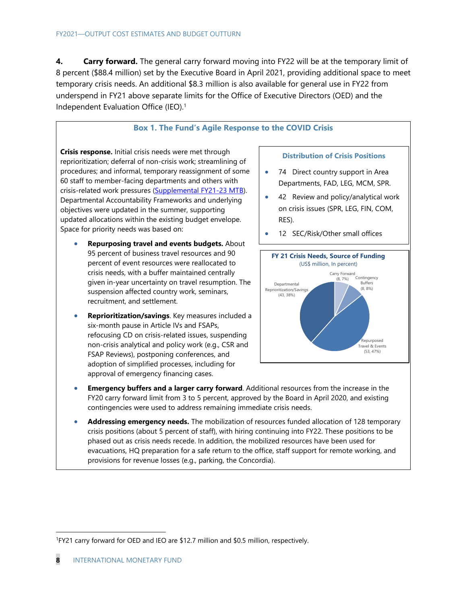**4.** Carry forward. The general carry forward moving into FY22 will be at the temporary limit of 8 percent (\$88.4 million) set by the Executive Board in April 2021, providing additional space to meet temporary crisis needs. An additional \$8.3 million is also available for general use in FY22 from underspend in FY21 above separate limits for the Office of Executive Directors (OED) and the Independent Evaluation Office (IEO).1

## **Box 1. The Fund's Agile Response to the COVID Crisis**

**Crisis response.** Initial crisis needs were met through reprioritization; deferral of non-crisis work; streamlining of procedures; and informal, temporary reassignment of some 60 staff to member-facing departments and others with crisis-related work pressures (Supplemental FY21-23 MTB). Departmental Accountability Frameworks and underlying objectives were updated in the summer, supporting updated allocations within the existing budget envelope. Space for priority needs was based on:

- **Repurposing travel and events budgets.** About 95 percent of business travel resources and 90 percent of event resources were reallocated to crisis needs, with a buffer maintained centrally given in-year uncertainty on travel resumption. The suspension affected country work, seminars, recruitment, and settlement.
- **Reprioritization/savings**. Key measures included a six-month pause in Article IVs and FSAPs, refocusing CD on crisis-related issues, suspending non-crisis analytical and policy work (e.g., CSR and FSAP Reviews), postponing conferences, and adoption of simplified processes, including for approval of emergency financing cases.

### **Distribution of Crisis Positions**

- 74 Direct country support in Area Departments, FAD, LEG, MCM, SPR.
- 42 Review and policy/analytical work on crisis issues (SPR, LEG, FIN, COM, RES).
- 12 SEC/Risk/Other small offices



- **Emergency buffers and a larger carry forward**. Additional resources from the increase in the FY20 carry forward limit from 3 to 5 percent, approved by the Board in April 2020, and existing contingencies were used to address remaining immediate crisis needs.
- **Addressing emergency needs.** The mobilization of resources funded allocation of 128 temporary crisis positions (about 5 percent of staff), with hiring continuing into FY22. These positions to be phased out as crisis needs recede. In addition, the mobilized resources have been used for evacuations, HQ preparation for a safe return to the office, staff support for remote working, and provisions for revenue losses (e.g., parking, the Concordia).

<sup>1</sup>FY21 carry forward for OED and IEO are \$12.7 million and \$0.5 million, respectively.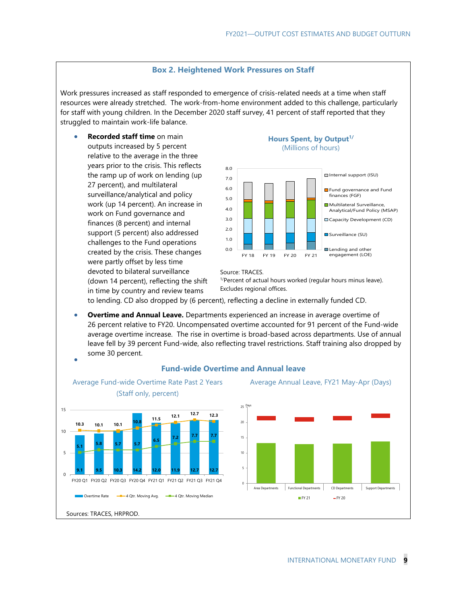### **Box 2. Heightened Work Pressures on Staff**

Work pressures increased as staff responded to emergence of crisis-related needs at a time when staff resources were already stretched. The work-from-home environment added to this challenge, particularly for staff with young children. In the December 2020 staff survey, 41 percent of staff reported that they struggled to maintain work-life balance.

 **Recorded staff time** on main outputs increased by 5 percent relative to the average in the three years prior to the crisis. This reflects the ramp up of work on lending (up 27 percent), and multilateral surveillance/analytical and policy work (up 14 percent). An increase in work on Fund governance and finances (8 percent) and internal support (5 percent) also addressed challenges to the Fund operations created by the crisis. These changes were partly offset by less time devoted to bilateral surveillance (down 14 percent), reflecting the shift in time by country and review teams

### Hours Spent, by Output<sup>1/</sup> (Millions of hours)



#### Source: TRACES.

<sup>1/</sup>Percent of actual hours worked (regular hours minus leave). Excludes regional offices.

to lending. CD also dropped by (6 percent), reflecting a decline in externally funded CD.

 **Overtime and Annual Leave.** Departments experienced an increase in average overtime of 26 percent relative to FY20. Uncompensated overtime accounted for 91 percent of the Fund-wide average overtime increase. The rise in overtime is broad-based across departments. Use of annual leave fell by 39 percent Fund-wide, also reflecting travel restrictions. Staff training also dropped by some 30 percent.  $\bullet$ 



### **Fund-wide Overtime and Annual leave**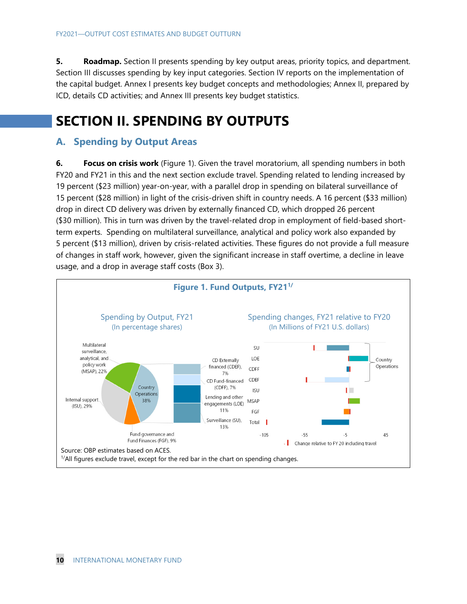**5.** Roadmap. Section II presents spending by key output areas, priority topics, and department. Section III discusses spending by key input categories. Section IV reports on the implementation of the capital budget. Annex I presents key budget concepts and methodologies; Annex II, prepared by ICD, details CD activities; and Annex III presents key budget statistics.

# **SECTION II. SPENDING BY OUTPUTS**

# **A. Spending by Output Areas**

**6. Focus on crisis work** (Figure 1). Given the travel moratorium, all spending numbers in both FY20 and FY21 in this and the next section exclude travel. Spending related to lending increased by 19 percent (\$23 million) year-on-year, with a parallel drop in spending on bilateral surveillance of 15 percent (\$28 million) in light of the crisis-driven shift in country needs. A 16 percent (\$33 million) drop in direct CD delivery was driven by externally financed CD, which dropped 26 percent (\$30 million). This in turn was driven by the travel-related drop in employment of field-based shortterm experts. Spending on multilateral surveillance, analytical and policy work also expanded by 5 percent (\$13 million), driven by crisis-related activities. These figures do not provide a full measure of changes in staff work, however, given the significant increase in staff overtime, a decline in leave usage, and a drop in average staff costs (Box 3).

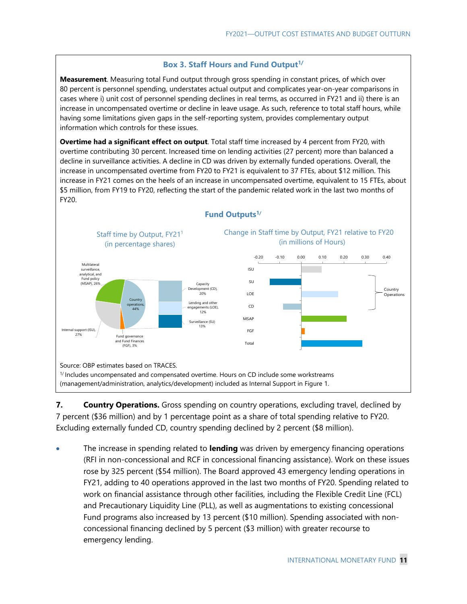## **Box 3. Staff Hours and Fund Output<sup>1/</sup>**

**Measurement**. Measuring total Fund output through gross spending in constant prices, of which over 80 percent is personnel spending, understates actual output and complicates year-on-year comparisons in cases where i) unit cost of personnel spending declines in real terms, as occurred in FY21 and ii) there is an increase in uncompensated overtime or decline in leave usage. As such, reference to total staff hours, while having some limitations given gaps in the self-reporting system, provides complementary output information which controls for these issues.

**Overtime had a significant effect on output**. Total staff time increased by 4 percent from FY20, with overtime contributing 30 percent. Increased time on lending activities (27 percent) more than balanced a decline in surveillance activities. A decline in CD was driven by externally funded operations. Overall, the increase in uncompensated overtime from FY20 to FY21 is equivalent to 37 FTEs, about \$12 million. This increase in FY21 comes on the heels of an increase in uncompensated overtime, equivalent to 15 FTEs, about \$5 million, from FY19 to FY20, reflecting the start of the pandemic related work in the last two months of FY20.



## **Fund Outputs1/**

**7. Country Operations.** Gross spending on country operations, excluding travel, declined by 7 percent (\$36 million) and by 1 percentage point as a share of total spending relative to FY20. Excluding externally funded CD, country spending declined by 2 percent (\$8 million).

 The increase in spending related to **lending** was driven by emergency financing operations (RFI in non-concessional and RCF in concessional financing assistance). Work on these issues rose by 325 percent (\$54 million). The Board approved 43 emergency lending operations in FY21, adding to 40 operations approved in the last two months of FY20. Spending related to work on financial assistance through other facilities, including the Flexible Credit Line (FCL) and Precautionary Liquidity Line (PLL), as well as augmentations to existing concessional Fund programs also increased by 13 percent (\$10 million). Spending associated with nonconcessional financing declined by 5 percent (\$3 million) with greater recourse to emergency lending.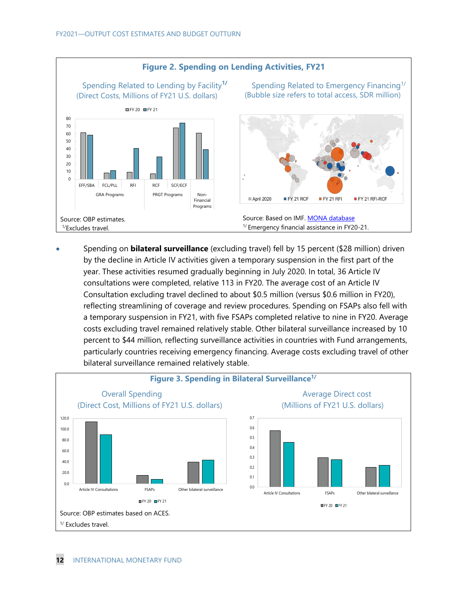

 Spending on **bilateral surveillance** (excluding travel) fell by 15 percent (\$28 million) driven by the decline in Article IV activities given a temporary suspension in the first part of the year. These activities resumed gradually beginning in July 2020. In total, 36 Article IV consultations were completed, relative 113 in FY20. The average cost of an Article IV Consultation excluding travel declined to about \$0.5 million (versus \$0.6 million in FY20), reflecting streamlining of coverage and review procedures. Spending on FSAPs also fell with a temporary suspension in FY21, with five FSAPs completed relative to nine in FY20. Average costs excluding travel remained relatively stable. Other bilateral surveillance increased by 10 percent to \$44 million, reflecting surveillance activities in countries with Fund arrangements, particularly countries receiving emergency financing. Average costs excluding travel of other bilateral surveillance remained relatively stable.

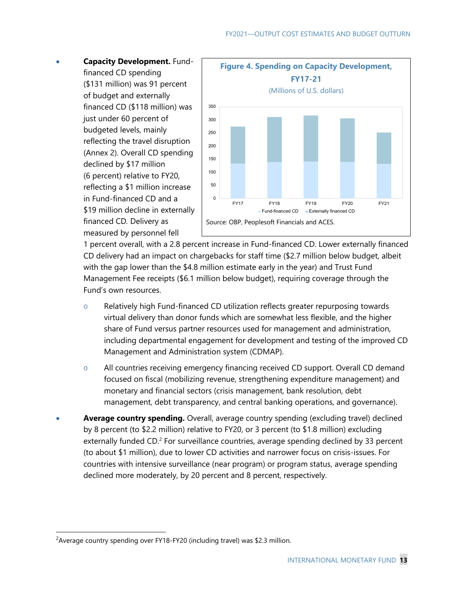**Capacity Development.** Fundfinanced CD spending (\$131 million) was 91 percent of budget and externally financed CD (\$118 million) was just under 60 percent of budgeted levels, mainly reflecting the travel disruption (Annex 2). Overall CD spending declined by \$17 million (6 percent) relative to FY20, reflecting a \$1 million increase in Fund-financed CD and a \$19 million decline in externally financed CD*.* Delivery as measured by personnel fell



1 percent overall, with a 2.8 percent increase in Fund-financed CD. Lower externally financed CD delivery had an impact on chargebacks for staff time (\$2.7 million below budget, albeit with the gap lower than the \$4.8 million estimate early in the year) and Trust Fund Management Fee receipts (\$6.1 million below budget), requiring coverage through the Fund's own resources.

- o Relatively high Fund-financed CD utilization reflects greater repurposing towards virtual delivery than donor funds which are somewhat less flexible, and the higher share of Fund versus partner resources used for management and administration, including departmental engagement for development and testing of the improved CD Management and Administration system (CDMAP).
- o All countries receiving emergency financing received CD support. Overall CD demand focused on fiscal (mobilizing revenue, strengthening expenditure management) and monetary and financial sectors (crisis management, bank resolution, debt management, debt transparency, and central banking operations, and governance).
- **Average country spending.** Overall, average country spending (excluding travel) declined by 8 percent (to \$2.2 million) relative to FY20, or 3 percent (to \$1.8 million) excluding externally funded CD.<sup>2</sup> For surveillance countries, average spending declined by 33 percent (to about \$1 million), due to lower CD activities and narrower focus on crisis-issues. For countries with intensive surveillance (near program) or program status, average spending declined more moderately, by 20 percent and 8 percent, respectively.

<sup>&</sup>lt;sup>2</sup> Average country spending over FY18-FY20 (including travel) was \$2.3 million.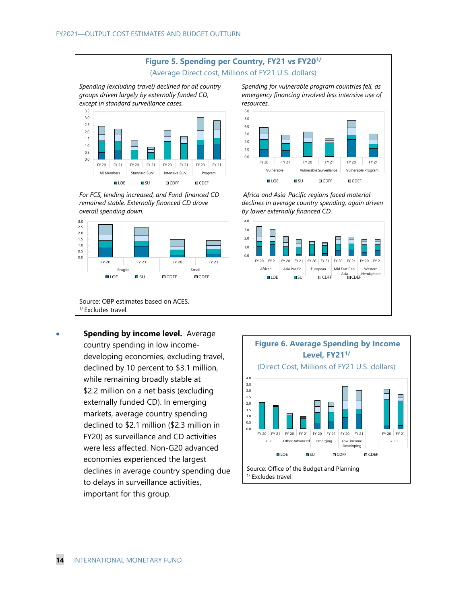

 **Spending by income level.** Average country spending in low incomedeveloping economies, excluding travel, declined by 10 percent to \$3.1 million, while remaining broadly stable at \$2.2 million on a net basis (excluding externally funded CD). In emerging markets, average country spending declined to \$2.1 million (\$2.3 million in FY20) as surveillance and CD activities were less affected. Non-G20 advanced economies experienced the largest declines in average country spending due to delays in surveillance activities, important for this group.



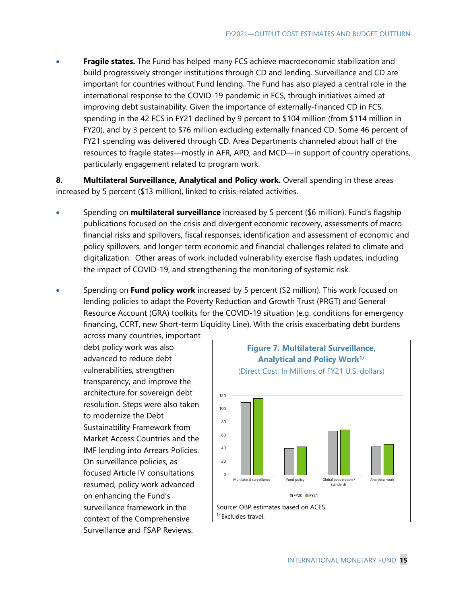**Fragile states.** The Fund has helped many FCS achieve macroeconomic stabilization and build progressively stronger institutions through CD and lending. Surveillance and CD are important for countries without Fund lending. The Fund has also played a central role in the international response to the COVID-19 pandemic in FCS, through initiatives aimed at improving debt sustainability. Given the importance of externally-financed CD in FCS, spending in the 42 FCS in FY21 declined by 9 percent to \$104 million (from \$114 million in FY20), and by 3 percent to \$76 million excluding externally financed CD. Some 46 percent of FY21 spending was delivered through CD. Area Departments channeled about half of the resources to fragile states—mostly in AFR, APD, and MCD—in support of country operations, particularly engagement related to program work.

**8. Multilateral Surveillance, Analytical and Policy work.** Overall spending in these areas increased by 5 percent (\$13 million), linked to crisis-related activities.

- Spending on **multilateral surveillance** increased by 5 percent (\$6 million). Fund's flagship publications focused on the crisis and divergent economic recovery, assessments of macro financial risks and spillovers, fiscal responses, identification and assessment of economic and policy spillovers, and longer-term economic and financial challenges related to climate and digitalization. Other areas of work included vulnerability exercise flash updates, including the impact of COVID-19, and strengthening the monitoring of systemic risk.
- Spending on **Fund policy work** increased by 5 percent (\$2 million). This work focused on lending policies to adapt the Poverty Reduction and Growth Trust (PRGT) and General Resource Account (GRA) toolkits for the COVID-19 situation (e.g. conditions for emergency financing, CCRT, new Short-term Liquidity Line). With the crisis exacerbating debt burdens

across many countries, important debt policy work was also advanced to reduce debt vulnerabilities, strengthen transparency, and improve the architecture for sovereign debt resolution. Steps were also taken to modernize the Debt Sustainability Framework from Market Access Countries and the IMF lending into Arrears Policies. On surveillance policies, as focused Article IV consultations resumed, policy work advanced on enhancing the Fund's surveillance framework in the context of the Comprehensive Surveillance and FSAP Reviews.

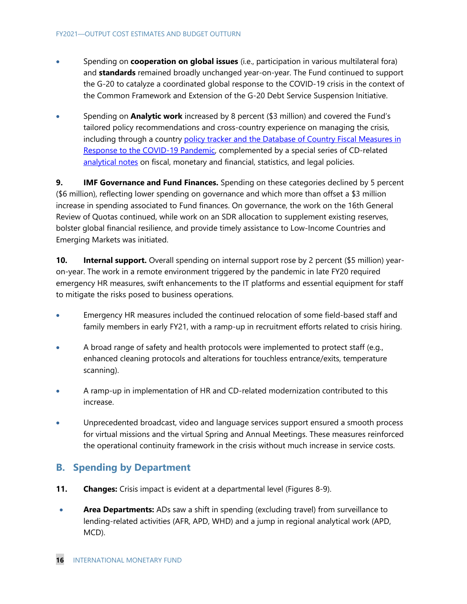- Spending on **cooperation on global issues** (i.e., participation in various multilateral fora) and **standards** remained broadly unchanged year-on-year. The Fund continued to support the G-20 to catalyze a coordinated global response to the COVID-19 crisis in the context of the Common Framework and Extension of the G-20 Debt Service Suspension Initiative.
- Spending on **Analytic work** increased by 8 percent (\$3 million) and covered the Fund's tailored policy recommendations and cross-country experience on managing the crisis, including through a country policy tracker and the Database of Country Fiscal Measures in Response to the COVID-19 Pandemic, complemented by a special series of CD-related analytical notes on fiscal, monetary and financial, statistics, and legal policies.

**9.** IMF Governance and Fund Finances. Spending on these categories declined by 5 percent (\$6 million), reflecting lower spending on governance and which more than offset a \$3 million increase in spending associated to Fund finances. On governance, the work on the 16th General Review of Quotas continued, while work on an SDR allocation to supplement existing reserves, bolster global financial resilience, and provide timely assistance to Low-Income Countries and Emerging Markets was initiated.

**10. Internal support.** Overall spending on internal support rose by 2 percent (\$5 million) yearon-year. The work in a remote environment triggered by the pandemic in late FY20 required emergency HR measures, swift enhancements to the IT platforms and essential equipment for staff to mitigate the risks posed to business operations.

- Emergency HR measures included the continued relocation of some field-based staff and family members in early FY21, with a ramp-up in recruitment efforts related to crisis hiring.
- A broad range of safety and health protocols were implemented to protect staff (e.g., enhanced cleaning protocols and alterations for touchless entrance/exits, temperature scanning).
- A ramp-up in implementation of HR and CD-related modernization contributed to this increase.
- Unprecedented broadcast, video and language services support ensured a smooth process for virtual missions and the virtual Spring and Annual Meetings. These measures reinforced the operational continuity framework in the crisis without much increase in service costs.

# **B. Spending by Department**

- **11. Changes:** Crisis impact is evident at a departmental level (Figures 8-9).
- **Area Departments:** ADs saw a shift in spending (excluding travel) from surveillance to lending-related activities (AFR, APD, WHD) and a jump in regional analytical work (APD, MCD).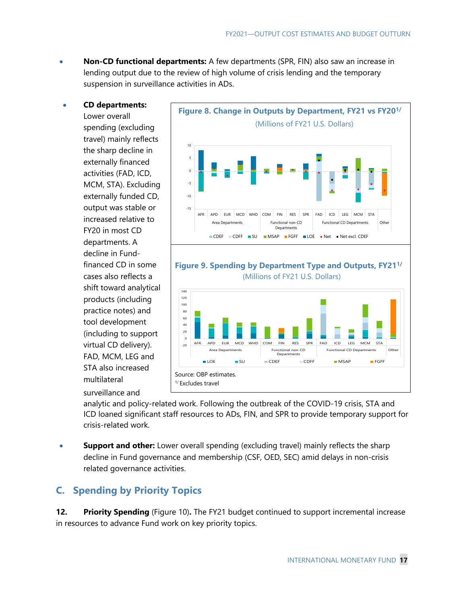- **Non-CD functional departments:** A few departments (SPR, FIN) also saw an increase in lending output due to the review of high volume of crisis lending and the temporary suspension in surveillance activities in ADs.
- **CD departments:**

Lower overall spending (excluding travel) mainly reflects the sharp decline in externally financed activities (FAD, ICD, MCM, STA). Excluding externally funded CD, output was stable or increased relative to FY20 in most CD departments. A decline in Fundfinanced CD in some cases also reflects a shift toward analytical products (including practice notes) and tool development (including to support virtual CD delivery). FAD, MCM, LEG and STA also increased multilateral surveillance and





analytic and policy-related work. Following the outbreak of the COVID-19 crisis, STA and ICD loaned significant staff resources to ADs, FIN, and SPR to provide temporary support for crisis-related work.

 **Support and other:** Lower overall spending (excluding travel) mainly reflects the sharp decline in Fund governance and membership (CSF, OED, SEC) amid delays in non-crisis related governance activities.

# **C. Spending by Priority Topics**

**12. Priority Spending** (Figure 10)**.** The FY21 budget continued to support incremental increase in resources to advance Fund work on key priority topics.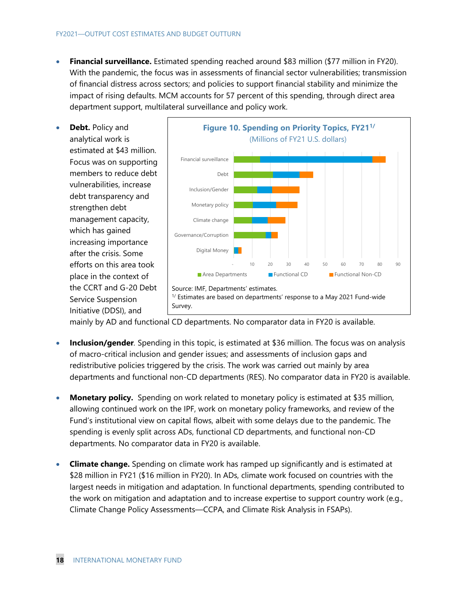- **Financial surveillance.** Estimated spending reached around \$83 million (\$77 million in FY20). With the pandemic, the focus was in assessments of financial sector vulnerabilities; transmission of financial distress across sectors; and policies to support financial stability and minimize the impact of rising defaults. MCM accounts for 57 percent of this spending, through direct area department support, multilateral surveillance and policy work.
- **Debt.** Policy and analytical work is estimated at \$43 million. Focus was on supporting members to reduce debt vulnerabilities, increase debt transparency and strengthen debt management capacity, which has gained increasing importance after the crisis. Some efforts on this area took place in the context of the CCRT and G-20 Debt Service Suspension Initiative (DDSI), and



mainly by AD and functional CD departments. No comparator data in FY20 is available.

- **Inclusion/gender***.* Spending in this topic, is estimated at \$36 million. The focus was on analysis of macro-critical inclusion and gender issues; and assessments of inclusion gaps and redistributive policies triggered by the crisis. The work was carried out mainly by area departments and functional non-CD departments (RES). No comparator data in FY20 is available.
- **Monetary policy.** Spending on work related to monetary policy is estimated at \$35 million, allowing continued work on the IPF, work on monetary policy frameworks, and review of the Fund's institutional view on capital flows, albeit with some delays due to the pandemic. The spending is evenly split across ADs, functional CD departments, and functional non-CD departments. No comparator data in FY20 is available.
- **Climate change.** Spending on climate work has ramped up significantly and is estimated at \$28 million in FY21 (\$16 million in FY20). In ADs, climate work focused on countries with the largest needs in mitigation and adaptation. In functional departments, spending contributed to the work on mitigation and adaptation and to increase expertise to support country work (e.g., Climate Change Policy Assessments—CCPA, and Climate Risk Analysis in FSAPs).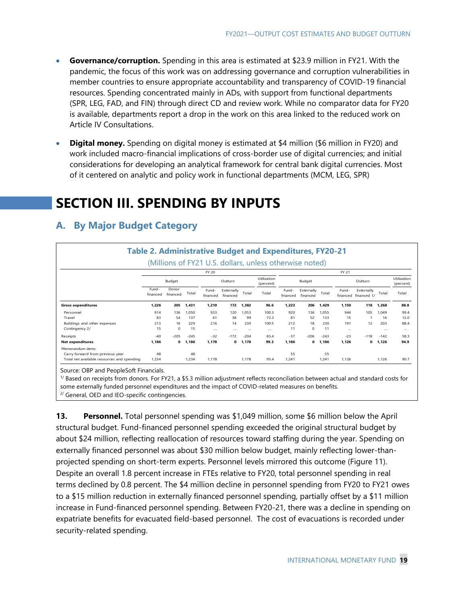- **Governance/corruption.** Spending in this area is estimated at \$23.9 million in FY21. With the pandemic, the focus of this work was on addressing governance and corruption vulnerabilities in member countries to ensure appropriate accountability and transparency of COVID-19 financial resources. Spending concentrated mainly in ADs, with support from functional departments (SPR, LEG, FAD, and FIN) through direct CD and review work. While no comparator data for FY20 is available, departments report a drop in the work on this area linked to the reduced work on Article IV Consultations.
- **Digital money.** Spending on digital money is estimated at \$4 million (\$6 million in FY20) and work included macro-financial implications of cross-border use of digital currencies; and initial considerations for developing an analytical framework for central bank digital currencies. Most of it centered on analytic and policy work in functional departments (MCM, LEG, SPR)

# **SECTION III. SPENDING BY INPUTS**

|                                            |                   |                   |        |                   |                        |          | <b>Table 2. Administrative Budget and Expenditures, FY20-21</b> |                   |                        |        |                          |                           |          |          |
|--------------------------------------------|-------------------|-------------------|--------|-------------------|------------------------|----------|-----------------------------------------------------------------|-------------------|------------------------|--------|--------------------------|---------------------------|----------|----------|
|                                            |                   |                   |        |                   |                        |          | (Millions of FY21 U.S. dollars, unless otherwise noted)         |                   |                        |        |                          |                           |          |          |
|                                            | FY 20<br>FY 21    |                   |        |                   |                        |          |                                                                 |                   |                        |        |                          |                           |          |          |
|                                            |                   | Budget            |        |                   | Outturn                |          | Utilization<br>(percent)                                        | Budget<br>Outturn |                        |        | Utilization<br>(percent) |                           |          |          |
|                                            | Fund-<br>financed | Donor<br>financed | Total  | Fund-<br>financed | Externally<br>financed | Total    | Total                                                           | Fund-<br>financed | Externally<br>financed | Total  | Fund-<br>financed        | Externally<br>financed 1/ | Total    | Total    |
| <b>Gross expenditures</b>                  | 1,226             | 205               | 1,431  | 1,210             | 172                    | 1,382    | 96.6                                                            | 1,223             | 206                    | 1,429  | 1,150                    | 118                       | 1,268    | 88.8     |
| Personnel                                  | 914               | 136               | 1,050  | 933               | 120                    | 1.053    | 100.3                                                           | 920               | 136                    | 1,055  | 944                      | 105                       | 1,049    | 99.4     |
| Travel                                     | 83                | 54                | 137    | 61                | 38                     | 99       | 72.3                                                            | 81                | 52                     | 133    | 15                       |                           | 16       | 12.0     |
| Buildings and other expenses               | 213               | 16                | 229    | 216               | 14                     | 230      | 100.5                                                           | 212               | 18                     | 230    | 191                      | 12                        | 203      | 88.4     |
| Contingency 2/                             | 15                | $\Omega$          | 15     | $\cdots$          | $\cdots$               | $\cdots$ | $\cdots$                                                        | 11                | $\Omega$               | 11     | $\cdots$                 |                           | $\cdots$ | $\cdots$ |
| Receipts                                   | $-40$             | $-205$            | $-245$ | $-32$             | $-172$                 | $-204$   | 834                                                             | $-37$             | $-206$                 | $-243$ | $-23$                    | $-118$                    | $-142$   | 58.3     |
| <b>Net expenditures</b>                    | 1.186             | $\Omega$          | 1,186  | 1.178             | 0                      | 1,178    | 99.3                                                            | 1.186             | $\mathbf 0$            | 1,186  | 1.126                    | $\mathbf 0$               | 1,126    | 94.9     |
| Memorandum items:                          |                   |                   |        |                   |                        |          |                                                                 |                   |                        |        |                          |                           |          |          |
| Carry forward from previous year           | 48                |                   | 48     |                   |                        |          |                                                                 | 55                |                        | 55     |                          |                           |          |          |
| Total net available resources and spending | 1,234             |                   | 1,234  | 1,178             |                        | 1,178    | 95.4                                                            | 1,241             |                        | 1,241  | 1,126                    |                           | 1,126    | 90.7     |

# **A. By Major Budget Category**

Source: OBP and PeopleSoft Financials.

 $1/$  Based on receipts from donors. For FY21, a \$5.3 million adjustment reflects reconciliation between actual and standard costs for some externally funded personnel expenditures and the impact of COVID-related measures on benefits. <sup>2/</sup> General, OED and IEO-specific contingencies.

**13. Personnel.** Total personnel spending was \$1,049 million, some \$6 million below the April structural budget. Fund-financed personnel spending exceeded the original structural budget by about \$24 million, reflecting reallocation of resources toward staffing during the year. Spending on externally financed personnel was about \$30 million below budget, mainly reflecting lower-thanprojected spending on short-term experts. Personnel levels mirrored this outcome (Figure 11). Despite an overall 1.8 percent increase in FTEs relative to FY20, total personnel spending in real terms declined by 0.8 percent. The \$4 million decline in personnel spending from FY20 to FY21 owes to a \$15 million reduction in externally financed personnel spending, partially offset by a \$11 million increase in Fund-financed personnel spending. Between FY20-21, there was a decline in spending on expatriate benefits for evacuated field-based personnel. The cost of evacuations is recorded under security-related spending.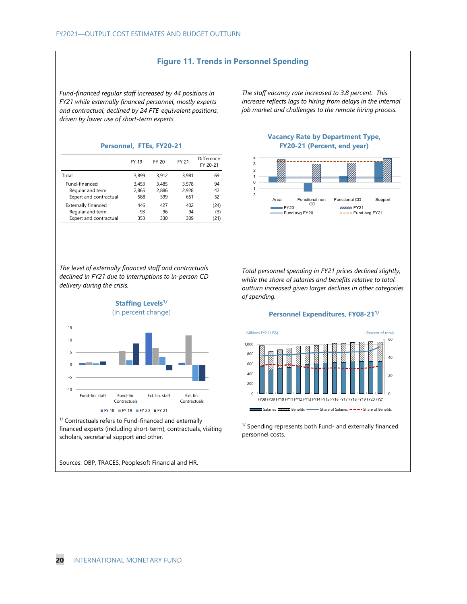### **Figure 11. Trends in Personnel Spending**

*Fund-financed regular staff increased by 44 positions in FY21 while externally financed personnel, mostly experts and contractual, declined by 24 FTE-equivalent positions, driven by lower use of short-term experts.* 

*The staff vacancy rate increased to 3.8 percent. This increase reflects lags to hiring from delays in the internal job market and challenges to the remote hiring process.* 

|                            | FY 19 | FY 20 | FY 21 | Difference<br>FY 20-21 |
|----------------------------|-------|-------|-------|------------------------|
| Total                      | 3.899 | 3.912 | 3.981 | 69                     |
| Fund-financed              | 3.453 | 3.485 | 3.578 | 94                     |
| Regular and term           | 2.865 | 2.886 | 2.928 | 42                     |
| Expert and contractual     | 588   | 599   | 651   | 52                     |
| <b>Externally financed</b> | 446   | 427   | 402   | (24)                   |
| Regular and term           | 93    | 96    | 94    | (3)                    |
| Expert and contractual     | 353   | 330   | 309   | (21)                   |

*The level of externally financed staff and contractuals declined in FY21 due to interruptions to in-person CD delivery during the crisis.* 



<sup>1/</sup> Contractuals refers to Fund-financed and externally financed experts (including short-term), contractuals, visiting scholars, secretarial support and other.

Sources: OBP, TRACES, Peoplesoft Financial and HR.

**Vacancy Rate by Department Type, Personnel, FTEs, FY20-21 FY20-21 (Percent, end year)**



*Total personnel spending in FY21 prices declined slightly, while the share of salaries and benefits relative to total outturn increased given larger declines in other categories of spending.* 

### **Personnel Expenditures, FY08-211/**



 $1/$  Spending represents both Fund- and externally financed personnel costs.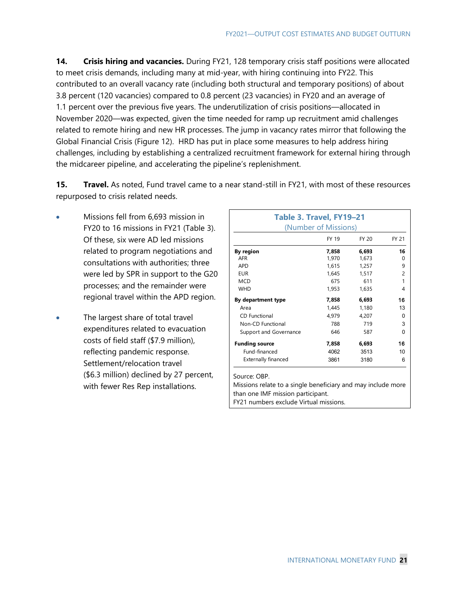**14. Crisis hiring and vacancies.** During FY21, 128 temporary crisis staff positions were allocated to meet crisis demands, including many at mid-year, with hiring continuing into FY22. This contributed to an overall vacancy rate (including both structural and temporary positions) of about 3.8 percent (120 vacancies) compared to 0.8 percent (23 vacancies) in FY20 and an average of 1.1 percent over the previous five years. The underutilization of crisis positions—allocated in November 2020—was expected, given the time needed for ramp up recruitment amid challenges related to remote hiring and new HR processes. The jump in vacancy rates mirror that following the Global Financial Crisis (Figure 12). HRD has put in place some measures to help address hiring challenges, including by establishing a centralized recruitment framework for external hiring through the midcareer pipeline, and accelerating the pipeline's replenishment.

**15. Travel.** As noted, Fund travel came to a near stand-still in FY21, with most of these resources repurposed to crisis related needs.

- Missions fell from 6,693 mission in FY20 to 16 missions in FY21 (Table 3). Of these, six were AD led missions related to program negotiations and consultations with authorities; three were led by SPR in support to the G20 processes; and the remainder were regional travel within the APD region.
- The largest share of total travel expenditures related to evacuation costs of field staff (\$7.9 million), reflecting pandemic response. Settlement/relocation travel (\$6.3 million) declined by 27 percent, with fewer Res Rep installations.

| Table 3. Travel, FY19-21                     |                      |       |    |  |  |  |  |
|----------------------------------------------|----------------------|-------|----|--|--|--|--|
|                                              | (Number of Missions) |       |    |  |  |  |  |
| <b>FY 21</b><br><b>FY 19</b><br><b>FY 20</b> |                      |       |    |  |  |  |  |
| By region                                    | 7,858                | 6,693 | 16 |  |  |  |  |
| <b>AFR</b>                                   | 1,970                | 1,673 | 0  |  |  |  |  |
| <b>APD</b>                                   | 1,615                | 1,257 | 9  |  |  |  |  |
| <b>EUR</b>                                   | 1,645                | 1,517 | 2  |  |  |  |  |
| <b>MCD</b>                                   | 675                  | 611   | 1  |  |  |  |  |
| <b>WHD</b>                                   | 1,953                | 1,635 | 4  |  |  |  |  |
| By department type                           | 7,858                | 6,693 | 16 |  |  |  |  |
| Area                                         | 1,445                | 1,180 | 13 |  |  |  |  |
| CD Functional                                | 4.979                | 4,207 | 0  |  |  |  |  |
| Non-CD Functional                            | 788                  | 719   | 3  |  |  |  |  |
| Support and Governance                       | 646                  | 587   | O  |  |  |  |  |
| <b>Funding source</b>                        | 7,858                | 6,693 | 16 |  |  |  |  |
| Fund-financed                                | 4062                 | 3513  | 10 |  |  |  |  |
| <b>Externally financed</b>                   | 3861                 | 3180  | 6  |  |  |  |  |

Source: OBP.

Missions relate to a single beneficiary and may include more than one IMF mission participant. FY21 numbers exclude Virtual missions.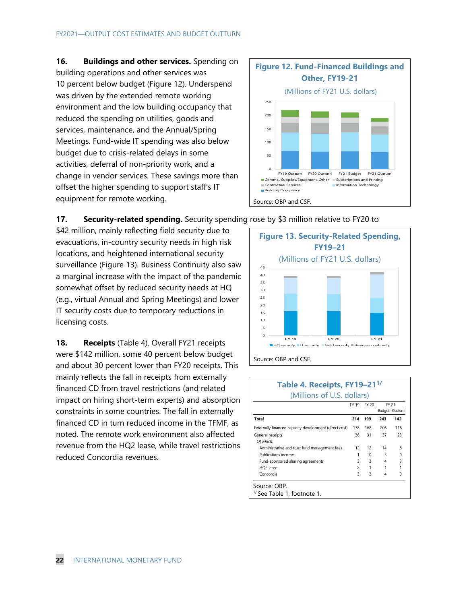**16. Buildings and other services.** Spending on building operations and other services was 10 percent below budget (Figure 12). Underspend was driven by the extended remote working environment and the low building occupancy that reduced the spending on utilities, goods and services, maintenance, and the Annual/Spring Meetings. Fund-wide IT spending was also below budget due to crisis-related delays in some activities, deferral of non-priority work, and a change in vendor services. These savings more than offset the higher spending to support staff's IT equipment for remote working.



# **17. Security-related spending.** Security spending rose by \$3 million relative to FY20 to

\$42 million, mainly reflecting field security due to evacuations, in-country security needs in high risk locations, and heightened international security surveillance (Figure 13). Business Continuity also saw a marginal increase with the impact of the pandemic somewhat offset by reduced security needs at HQ (e.g., virtual Annual and Spring Meetings) and lower IT security costs due to temporary reductions in licensing costs.

**18. Receipts** (Table 4). Overall FY21 receipts were \$142 million, some 40 percent below budget and about 30 percent lower than FY20 receipts. This mainly reflects the fall in receipts from externally financed CD from travel restrictions (and related impact on hiring short-term experts) and absorption constraints in some countries. The fall in externally financed CD in turn reduced income in the TFMF, as noted. The remote work environment also affected revenue from the HQ2 lease, while travel restrictions reduced Concordia revenues.



## **Table 4. Receipts, FY19–211/**  (Millions of U.S. dollars)

|                                                        | FY 19                    | FY 20 |     | FY 21          |
|--------------------------------------------------------|--------------------------|-------|-----|----------------|
|                                                        |                          |       |     | Budget Outturn |
| Total                                                  | 214                      | 199   | 243 | 142            |
| Externally financed capacity development (direct cost) | 178                      | 168   | 206 | 118            |
| General receipts                                       | 36                       | 31    | 37  | 23             |
| Of which:                                              |                          |       |     |                |
| Administrative and trust fund management fees          | 12                       | 12    | 14  | 8              |
| Publications income                                    |                          | 0     | 3   | $\Omega$       |
| Fund-sponsored sharing agreements                      | 3                        | 3     | 4   | 3              |
| HQ2 lease                                              | $\overline{\phantom{a}}$ | 1     |     |                |
| Concordia                                              | 3                        | 3     | 4   | 0              |
| Source: OBP.                                           |                          |       |     |                |
| <sup>1/</sup> See Table 1, footnote 1.                 |                          |       |     |                |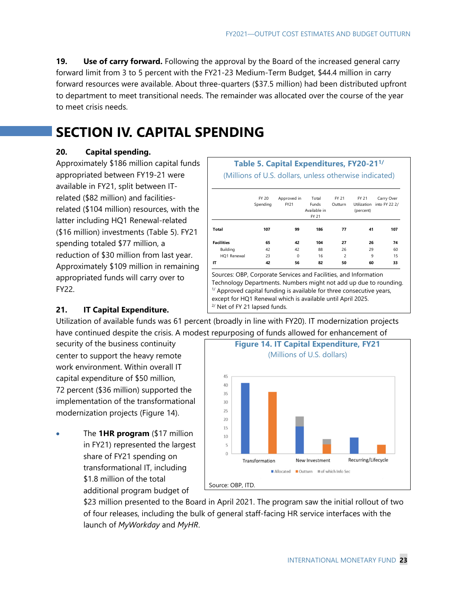**19. Use of carry forward.** Following the approval by the Board of the increased general carry forward limit from 3 to 5 percent with the FY21-23 Medium-Term Budget, \$44.4 million in carry forward resources were available. About three-quarters (\$37.5 million) had been distributed upfront to department to meet transitional needs. The remainder was allocated over the course of the year to meet crisis needs.

# **SECTION IV. CAPITAL SPENDING**

# **20. Capital spending.**

Approximately \$186 million capital funds appropriated between FY19-21 were available in FY21, split between ITrelated (\$82 million) and facilitiesrelated (\$104 million) resources, with the latter including HQ1 Renewal-related (\$16 million) investments (Table 5). FY21 spending totaled \$77 million, a reduction of \$30 million from last year. Approximately \$109 million in remaining appropriated funds will carry over to FY22.

# **Table 5. Capital Expenditures, FY20-211/**

(Millions of U.S. dollars, unless otherwise indicated)

|                                                                                                                                                                                                                                                                                 | <b>FY 20</b><br>Spending | Approved in<br>FY21 | Total<br>Funds<br>Available in<br>FY 21 | FY 21<br>Outturn         | FY 21<br><b>Utilization</b><br>(percent) | Carry Over<br>into FY 22 2/ |
|---------------------------------------------------------------------------------------------------------------------------------------------------------------------------------------------------------------------------------------------------------------------------------|--------------------------|---------------------|-----------------------------------------|--------------------------|------------------------------------------|-----------------------------|
| Total                                                                                                                                                                                                                                                                           | 107                      | 99                  | 186                                     | 77                       | 41                                       | 107                         |
| <b>Facilities</b>                                                                                                                                                                                                                                                               | 65                       | 42                  | 104                                     | 27                       | 26                                       | 74                          |
| Building                                                                                                                                                                                                                                                                        | 42                       | 42                  | 88                                      | 26                       | 29                                       | 60                          |
| HQ1 Renewal                                                                                                                                                                                                                                                                     | 23                       | $\Omega$            | 16                                      | $\overline{\phantom{0}}$ | 9                                        | 15                          |
| IT                                                                                                                                                                                                                                                                              | 42                       | 56                  | 82                                      | 50                       | 60                                       | 33                          |
| Sources: OBP, Corporate Services and Facilities, and Information<br>Technology Departments. Numbers might not add up due to rounding.<br>$1/$ Approved capital funding is available for three consecutive years,<br>except for HQ1 Renewal which is available until April 2025. |                          |                     |                                         |                          |                                          |                             |

# **21. IT Capital Expenditure.**

Utilization of available funds was 61 percent (broadly in line with FY20). IT modernization projects have continued despite the crisis. A modest repurposing of funds allowed for enhancement of

center to support the heavy remote (Millions of U.S. dollars) work environment. Within overall IT capital expenditure of \$50 million, 72 percent (\$36 million) supported the implementation of the transformational modernization projects (Figure 14).

 The **1HR program** (\$17 million in FY21) represented the largest share of FY21 spending on transformational IT, including \$1.8 million of the total additional program budget of



\$23 million presented to the Board in April 2021. The program saw the initial rollout of two of four releases, including the bulk of general staff-facing HR service interfaces with the launch of *MyWorkday* and *MyHR*.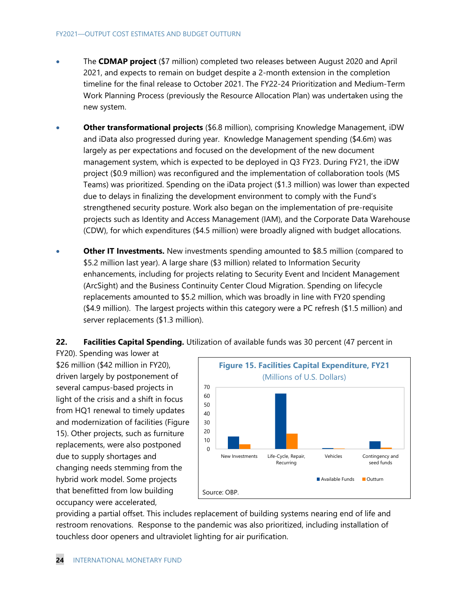- The **CDMAP project** (\$7 million) completed two releases between August 2020 and April 2021, and expects to remain on budget despite a 2-month extension in the completion timeline for the final release to October 2021. The FY22-24 Prioritization and Medium-Term Work Planning Process (previously the Resource Allocation Plan) was undertaken using the new system.
- **Other transformational projects** (\$6.8 million), comprising Knowledge Management, iDW and iData also progressed during year. Knowledge Management spending (\$4.6m) was largely as per expectations and focused on the development of the new document management system, which is expected to be deployed in Q3 FY23. During FY21, the iDW project (\$0.9 million) was reconfigured and the implementation of collaboration tools (MS Teams) was prioritized. Spending on the iData project (\$1.3 million) was lower than expected due to delays in finalizing the development environment to comply with the Fund's strengthened security posture. Work also began on the implementation of pre-requisite projects such as Identity and Access Management (IAM), and the Corporate Data Warehouse (CDW), for which expenditures (\$4.5 million) were broadly aligned with budget allocations.
- **Other IT Investments.** New investments spending amounted to \$8.5 million (compared to \$5.2 million last year). A large share (\$3 million) related to Information Security enhancements, including for projects relating to Security Event and Incident Management (ArcSight) and the Business Continuity Center Cloud Migration. Spending on lifecycle replacements amounted to \$5.2 million, which was broadly in line with FY20 spending (\$4.9 million). The largest projects within this category were a PC refresh (\$1.5 million) and server replacements (\$1.3 million).

**22. Facilities Capital Spending.** Utilization of available funds was 30 percent (47 percent in

FY20). Spending was lower at \$26 million (\$42 million in FY20), driven largely by postponement of several campus-based projects in light of the crisis and a shift in focus from HQ1 renewal to timely updates and modernization of facilities (Figure 15). Other projects, such as furniture replacements, were also postponed due to supply shortages and changing needs stemming from the hybrid work model. Some projects that benefitted from low building occupancy were accelerated,



providing a partial offset. This includes replacement of building systems nearing end of life and restroom renovations. Response to the pandemic was also prioritized, including installation of touchless door openers and ultraviolet lighting for air purification.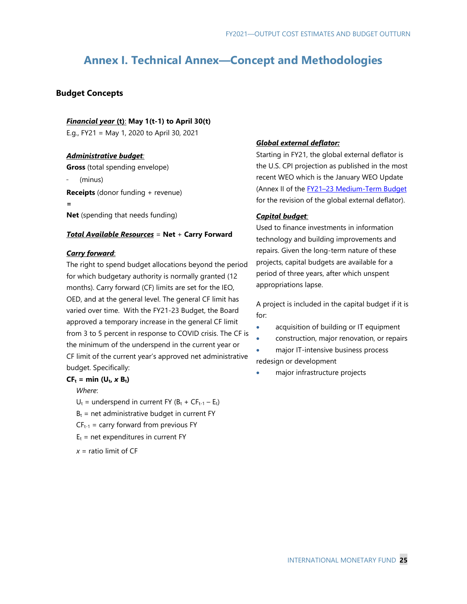# **Annex I. Technical Annex—Concept and Methodologies**

## **Budget Concepts**

### *Financial year* **(t)**: **May 1(t-1) to April 30(t)**

E.g., FY21 = May 1, 2020 to April 30, 2021

### *Administrative budget:*

**Gross** (total spending envelope)

(minus)

**Receipts** (donor funding + revenue)

**=**

**Net** (spending that needs funding)

### *Total Available Resources* = **Net** + **Carry Forward**

### *Carry forward*:

The right to spend budget allocations beyond the period for which budgetary authority is normally granted (12 months). Carry forward (CF) limits are set for the IEO, OED, and at the general level. The general CF limit has varied over time. With the FY21-23 Budget, the Board approved a temporary increase in the general CF limit from 3 to 5 percent in response to COVID crisis. The CF is the minimum of the underspend in the current year or CF limit of the current year's approved net administrative budget. Specifically:

### $CF_t = min (U_t, x B_t)$

*Where*:

- $U_t$  = underspend in current FY ( $B_t$  + CF<sub>t-1</sub> E<sub>t</sub>)
- $B_t$  = net administrative budget in current FY
- $CF_{t-1}$  = carry forward from previous FY
- $E_t$  = net expenditures in current FY
- $x =$  ratio limit of  $CF$

## *Global external deflator:*

Starting in FY21, the global external deflator is the U.S. CPI projection as published in the most recent WEO which is the January WEO Update (Annex II of the FY21-23 Medium-Term Budget for the revision of the global external deflator).

### *Capital budget:*

Used to finance investments in information technology and building improvements and repairs. Given the long-term nature of these projects, capital budgets are available for a period of three years, after which unspent appropriations lapse.

A project is included in the capital budget if it is for:

- acquisition of building or IT equipment
- construction, major renovation, or repairs
- major IT-intensive business process

redesign or development

major infrastructure projects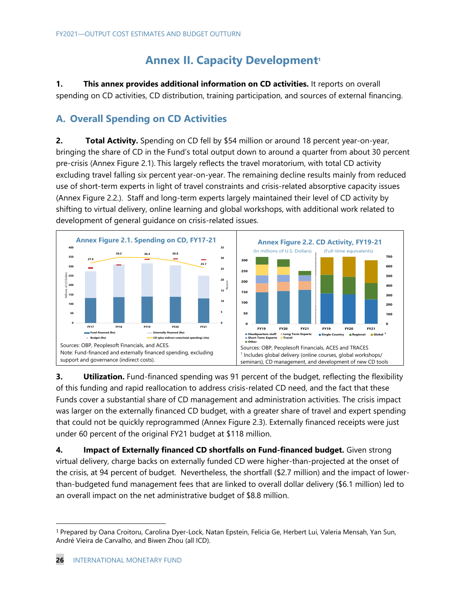# **Annex II. Capacity Development<sup>1</sup>**

**1. This annex provides additional information on CD activities.** It reports on overall spending on CD activities, CD distribution, training participation, and sources of external financing.

# **A. Overall Spending on CD Activities**

**2. Total Activity.** Spending on CD fell by \$54 million or around 18 percent year-on-year, bringing the share of CD in the Fund's total output down to around a quarter from about 30 percent pre-crisis (Annex Figure 2.1). This largely reflects the travel moratorium, with total CD activity excluding travel falling six percent year-on-year. The remaining decline results mainly from reduced use of short-term experts in light of travel constraints and crisis-related absorptive capacity issues (Annex Figure 2.2.). Staff and long-term experts largely maintained their level of CD activity by shifting to virtual delivery, online learning and global workshops, with additional work related to development of general guidance on crisis-related issues.



**3. Utilization.** Fund-financed spending was 91 percent of the budget, reflecting the flexibility of this funding and rapid reallocation to address crisis-related CD need, and the fact that these Funds cover a substantial share of CD management and administration activities. The crisis impact was larger on the externally financed CD budget, with a greater share of travel and expert spending that could not be quickly reprogrammed (Annex Figure 2.3). Externally financed receipts were just under 60 percent of the original FY21 budget at \$118 million.

**4. Impact of Externally financed CD shortfalls on Fund-financed budget.** Given strong virtual delivery, charge backs on externally funded CD were higher-than-projected at the onset of the crisis, at 94 percent of budget. Nevertheless, the shortfall (\$2.7 million) and the impact of lowerthan-budgeted fund management fees that are linked to overall dollar delivery (\$6.1 million) led to an overall impact on the net administrative budget of \$8.8 million.

<sup>1</sup> Prepared by Oana Croitoru, Carolina Dyer-Lock, Natan Epstein, Felicia Ge, Herbert Lui, Valeria Mensah, Yan Sun, André Vieira de Carvalho, and Biwen Zhou (all ICD).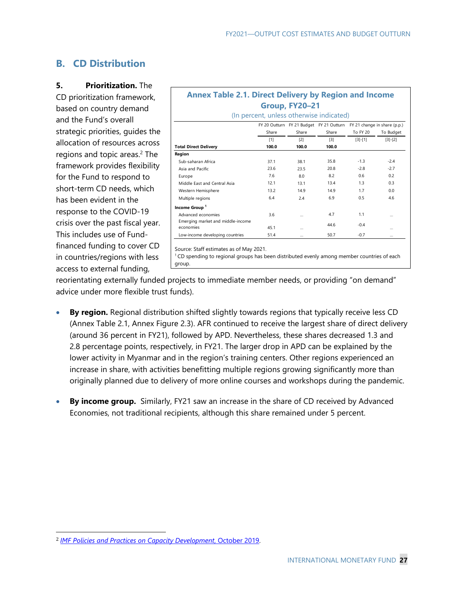# **B. CD Distribution**

**5. Prioritization.** The

CD prioritization framework, based on country demand and the Fund's overall strategic priorities, guides the allocation of resources across regions and topic areas.2 The framework provides flexibility for the Fund to respond to short-term CD needs, which has been evident in the response to the COVID-19 crisis over the past fiscal year. This includes use of Fundfinanced funding to cover CD in countries/regions with less access to external funding,

# **Annex Table 2.1. Direct Delivery by Region and Income Group, FY20–21**

|                                   |       |       | FY 20 Outturn FY 21 Budget FY 21 Outturn | FY 21 change in share (p.p.) |           |  |
|-----------------------------------|-------|-------|------------------------------------------|------------------------------|-----------|--|
|                                   | Share | Share | Share                                    | <b>To FY 20</b>              | To Budget |  |
|                                   | $[1]$ | [2]   | $[3]$                                    | $[3] - [1]$                  | $[3]-[2]$ |  |
| <b>Total Direct Delivery</b>      | 100.0 | 100.0 | 100.0                                    |                              |           |  |
| Region                            |       |       |                                          |                              |           |  |
| Sub-saharan Africa                | 37.1  | 38.1  | 35.8                                     | $-1.3$                       | $-2.4$    |  |
| Asia and Pacific                  | 23.6  | 23.5  | 20.8                                     | $-2.8$                       | $-2.7$    |  |
| Europe                            | 7.6   | 8.0   | 8.2                                      | 0.6                          | 0.2       |  |
| Middle East and Central Asia      | 12.1  | 13.1  | 13.4                                     | 1.3                          | 0.3       |  |
| Western Hemisphere                | 13.2  | 14.9  | 14.9                                     | 1.7                          | 0.0       |  |
| Multiple regions                  | 6.4   | 2.4   | 6.9                                      | 0.5                          | 4.6       |  |
| Income Group <sup>1</sup>         |       |       |                                          |                              |           |  |
| Advanced economies                | 3.6   |       | 4.7                                      | 1.1                          |           |  |
| Emerging market and middle-income |       |       | 44.6                                     | $-0.4$                       |           |  |
| economies                         | 45.1  |       |                                          |                              |           |  |
| Low-income developing countries   | 51.4  |       | 50.7                                     | $-0.7$                       |           |  |

Source: Staff estimates as of May 2021.<br><sup>1</sup> CD spending to regional groups has been distributed evenly among member countries of each group.

reorientating externally funded projects to immediate member needs, or providing "on demand" advice under more flexible trust funds).

- **By region.** Regional distribution shifted slightly towards regions that typically receive less CD (Annex Table 2.1, Annex Figure 2.3). AFR continued to receive the largest share of direct delivery (around 36 percent in FY21), followed by APD. Nevertheless, these shares decreased 1.3 and 2.8 percentage points, respectively, in FY21. The larger drop in APD can be explained by the lower activity in Myanmar and in the region's training centers. Other regions experienced an increase in share, with activities benefitting multiple regions growing significantly more than originally planned due to delivery of more online courses and workshops during the pandemic.
- **By income group.** Similarly, FY21 saw an increase in the share of CD received by Advanced Economies, not traditional recipients, although this share remained under 5 percent.

<sup>2</sup> *IMF Policies and Practices on Capacity Development*, October 2019.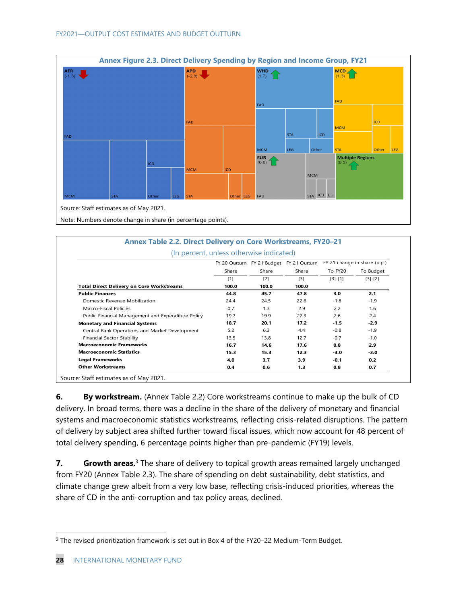

|                                                    | (In percent, unless otherwise indicated) |       |                            |           |                              |
|----------------------------------------------------|------------------------------------------|-------|----------------------------|-----------|------------------------------|
|                                                    | FY 20 Outturn                            |       | FY 21 Budget FY 21 Outturn |           | FY 21 change in share (p.p.) |
|                                                    | Share                                    | Share | Share                      | To FY20   | To Budget                    |
|                                                    | $[1]$                                    | $[2]$ | $[3]$                      | $[3]-[1]$ | $[3]-[2]$                    |
| <b>Total Direct Delivery on Core Workstreams</b>   | 100.0                                    | 100.0 | 100.0                      |           |                              |
| <b>Public Finances</b>                             | 44.8                                     | 45.7  | 47.8                       | 3.0       | 2.1                          |
| Domestic Revenue Mobilization                      | 24.4                                     | 24.5  | 22.6                       | $-1.8$    | $-1.9$                       |
| Macro-Fiscal Policies                              | 0.7                                      | 1.3   | 2.9                        | 2.2       | 1.6                          |
| Public Financial Management and Expenditure Policy | 19.7                                     | 19.9  | 22.3                       | 2.6       | 2.4                          |
| <b>Monetary and Financial Systems</b>              | 18.7                                     | 20.1  | 17.2                       | $-1.5$    | $-2.9$                       |
| Central Bank Operations and Market Development     | 5.2                                      | 6.3   | 4.4                        | $-0.8$    | $-1.9$                       |
| Financial Sector Stability                         | 13.5                                     | 13.8  | 12.7                       | $-0.7$    | $-1.0$                       |
| <b>Macroeconomic Frameworks</b>                    | 16.7                                     | 14.6  | 17.6                       | 0.8       | 2.9                          |
| <b>Macroeconomic Statistics</b>                    | 15.3                                     | 15.3  | 12.3                       | $-3.0$    | $-3.0$                       |
| <b>Legal Frameworks</b>                            | 4.0                                      | 3.7   | 3.9                        | $-0.1$    | 0.2                          |
| <b>Other Workstreams</b>                           | 0.4                                      | 0.6   | 1.3                        | 0.8       | 0.7                          |

**6. By workstream.** (Annex Table 2.2) Core workstreams continue to make up the bulk of CD delivery. In broad terms, there was a decline in the share of the delivery of monetary and financial systems and macroeconomic statistics workstreams, reflecting crisis-related disruptions. The pattern of delivery by subject area shifted further toward fiscal issues, which now account for 48 percent of total delivery spending, 6 percentage points higher than pre-pandemic (FY19) levels.

**7. Growth areas.**3 The share of delivery to topical growth areas remained largely unchanged from FY20 (Annex Table 2.3). The share of spending on debt sustainability, debt statistics, and climate change grew albeit from a very low base, reflecting crisis-induced priorities, whereas the share of CD in the anti-corruption and tax policy areas, declined.

<sup>3</sup> The revised prioritization framework is set out in Box 4 of the FY20–22 Medium-Term Budget.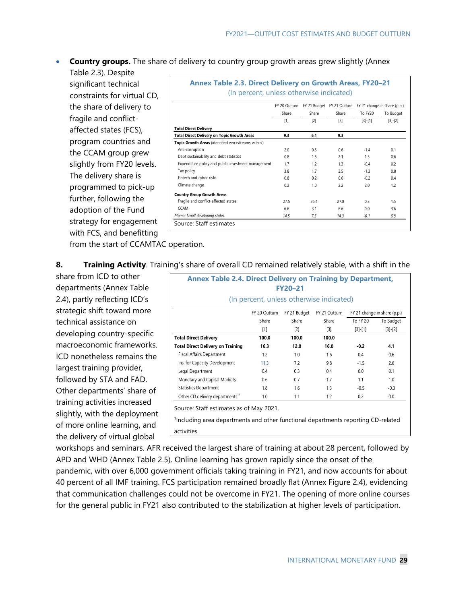**Country groups.** The share of delivery to country group growth areas grew slightly (Annex

Table 2.3). Despite significant technical constraints for virtual CD, the share of delivery to fragile and conflictaffected states (FCS), program countries and the CCAM group grew slightly from FY20 levels. The delivery share is programmed to pick-up further, following the adoption of the Fund strategy for engagement with FCS, and benefitting

|                                                     | FY 20 Outturn |       | FY 21 Budget FY 21 Outturn FY 21 change in share (p.p.) |           |           |
|-----------------------------------------------------|---------------|-------|---------------------------------------------------------|-----------|-----------|
|                                                     | Share         | Share | Share                                                   | To FY20   | To Budget |
|                                                     | [1]           | [2]   | $\lceil 3 \rceil$                                       | $[3]-[1]$ | $[3]-[2]$ |
| <b>Total Direct Delivery</b>                        |               |       |                                                         |           |           |
| <b>Total Direct Delivery on Topic Growth Areas</b>  | 9.3           | 6.1   | 9.3                                                     |           |           |
| Topic Growth Areas (identified workstreams within:) |               |       |                                                         |           |           |
| Anti-corruption                                     | 2.0           | 0.5   | 0.6                                                     | $-1.4$    | 0.1       |
| Debt sustainability and debt statistics             | 0.8           | 1.5   | 21                                                      | 13        | 0.6       |
| Expenditure policy and public investment management | 1.7           | 1.2   | 1.3                                                     | $-0.4$    | 0.2       |
| Tax policy                                          | 3.8           | 1.7   | 2.5                                                     | $-1.3$    | 0.8       |
| Fintech and cyber risks                             | 0.8           | 0.2   | 0.6                                                     | $-0.2$    | 0.4       |
| Climate change                                      | 0.2           | 1.0   | 22                                                      | 2.0       | 1.2       |
| <b>Country Group Growth Areas</b>                   |               |       |                                                         |           |           |
| Fragile and conflict-affected states                | 27.5          | 26.4  | 27.8                                                    | 0.3       | 1.5       |
| <b>CCAM</b>                                         | 6.6           | 3.1   | 6.6                                                     | 0.0       | 3.6       |
| Memo: Small developing states                       | 14.5          | 7.5   | 14.3                                                    | $-0.1$    | 6.8       |

from the start of CCAMTAC operation.

**8. Training Activity**. Training's share of overall CD remained relatively stable, with a shift in the

share from ICD to other departments (Annex Table 2.4), partly reflecting ICD's strategic shift toward more technical assistance on developing country-specific macroeconomic frameworks. ICD nonetheless remains the largest training provider, followed by STA and FAD. Other departments' share of training activities increased slightly, with the deployment of more online learning, and the delivery of virtual global

|                                             | (In percent, unless otherwise indicated) |              |                   |                 |                              |
|---------------------------------------------|------------------------------------------|--------------|-------------------|-----------------|------------------------------|
|                                             | FY 20 Outturn                            | FY 21 Budget | FY 21 Outturn     |                 | FY 21 change in share (p.p.) |
|                                             | Share                                    | Share        | Share             | <b>To FY 20</b> | To Budget                    |
|                                             | $[1]$                                    | $[2]$        | $\lceil 3 \rceil$ | $[3] - [1]$     | $[3]-[2]$                    |
| <b>Total Direct Delivery</b>                | 100.0                                    | 100.0        | 100.0             |                 |                              |
| <b>Total Direct Delivery on Training</b>    | 16.3                                     | 12.0         | 16.0              | $-0.2$          | 4.1                          |
| <b>Fiscal Affairs Department</b>            | 1.2                                      | 1.0          | 1.6               | 0.4             | 0.6                          |
| Ins. for Capacity Development               | 11.3                                     | 7.2          | 9.8               | $-1.5$          | 2.6                          |
| Legal Department                            | 0.4                                      | 0.3          | 0.4               | 0.0             | 0.1                          |
| Monetary and Capital Markets                | 0.6                                      | 0.7          | 1.7               | 1.1             | 1.0                          |
| <b>Statistics Department</b>                | 1.8                                      | 1.6          | 1.3               | $-0.5$          | $-0.3$                       |
| Other CD delivery departments <sup>1/</sup> | 1.0                                      | 1.1          | 1.2               | 0.2             | 0.0                          |
| Source: Staff estimates as of May 2021.     |                                          |              |                   |                 |                              |

workshops and seminars. AFR received the largest share of training at about 28 percent, followed by APD and WHD (Annex Table 2.5). Online learning has grown rapidly since the onset of the pandemic, with over 6,000 government officials taking training in FY21, and now accounts for about 40 percent of all IMF training. FCS participation remained broadly flat (Annex Figure 2.4), evidencing that communication challenges could not be overcome in FY21. The opening of more online courses

for the general public in FY21 also contributed to the stabilization at higher levels of participation.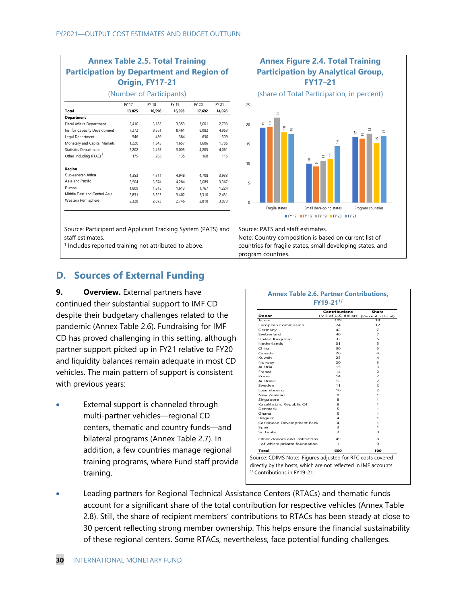| <b>Participation by Department and Region of</b><br>Origin, FY17-21 |        |        |        |        |        |  |  |  |  |  |
|---------------------------------------------------------------------|--------|--------|--------|--------|--------|--|--|--|--|--|
| (Number of Participants)                                            |        |        |        |        |        |  |  |  |  |  |
|                                                                     | FY 17  | FY 18  | FY 19  | FY 20  | FY 21  |  |  |  |  |  |
| Total                                                               | 13,825 | 16,596 | 16,993 | 17,692 | 14,028 |  |  |  |  |  |
| <b>Department</b>                                                   |        |        |        |        |        |  |  |  |  |  |
| <b>Fiscal Affairs Department</b>                                    | 2.410  | 3.183  | 3.353  | 3.001  | 2.793  |  |  |  |  |  |
| Ins. for Capacity Development                                       | 7,272  | 8.851  | 8.461  | 8.082  | 4.963  |  |  |  |  |  |
| Legal Department                                                    | 546    | 489    | 384    | 630    | 309    |  |  |  |  |  |
| Monetary and Capital Markets                                        | 1,220  | 1.345  | 1.657  | 1.606  | 1.786  |  |  |  |  |  |
| <b>Statistics Department</b>                                        | 2.202  | 2.465  | 3.003  | 4.205  | 4.061  |  |  |  |  |  |
| Other including RTACs <sup>1</sup>                                  | 175    | 263    | 135    | 168    | 116    |  |  |  |  |  |
| Region                                                              |        |        |        |        |        |  |  |  |  |  |
| Sub-saharan Africa                                                  | 4.353  | 4.711  | 4.948  | 4.708  | 3.933  |  |  |  |  |  |
| Asia and Pacific                                                    | 2.504  | 3.674  | 4.284  | 5.089  | 3,367  |  |  |  |  |  |
| Europe                                                              | 1.809  | 1.815  | 1.613  | 1.767  | 1.224  |  |  |  |  |  |
| Middle East and Central Asia                                        | 2.831  | 3,523  | 3,402  | 3,310  | 2,431  |  |  |  |  |  |
| Western Hemisphere                                                  | 2.328  | 2.873  | 2.746  | 2.818  | 3,073  |  |  |  |  |  |

Source: Participant and Applicant Tracking System (PATS) and staff estimates.

<sup>1</sup> Includes reported training not attributed to above.

# **D. Sources of External Funding**

**9. Overview.** External partners have continued their substantial support to IMF CD despite their budgetary challenges related to the pandemic (Annex Table 2.6). Fundraising for IMF CD has proved challenging in this setting, although partner support picked up in FY21 relative to FY20 and liquidity balances remain adequate in most CD vehicles. The main pattern of support is consistent with previous years:

 External support is channeled through multi-partner vehicles—regional CD centers, thematic and country funds—and bilateral programs (Annex Table 2.7). In addition, a few countries manage regional training programs, where Fund staff provide training.



| Donor                         | Contributions<br>(Mil. of U.S. dollars (Percent of total) | Share          |
|-------------------------------|-----------------------------------------------------------|----------------|
| Japan                         | 109                                                       | 18             |
| <b>European Commission</b>    | 74                                                        | 12             |
| Germany                       | 42                                                        | $\overline{7}$ |
| Switzerland                   | 40                                                        | $\overline{7}$ |
| United Kingdom                | 33                                                        | 6              |
| Netherlands                   | 31                                                        | 5              |
| China                         | 30                                                        | 5              |
| Canada                        | 26                                                        | 4              |
| Kuwait                        | 25                                                        | 4              |
| Norway                        | 20                                                        | 3              |
| Austria                       | 15                                                        | з              |
| France                        | 14                                                        | $\overline{z}$ |
| Korea                         | 14                                                        | $\overline{z}$ |
| Australia                     | 12                                                        | $\overline{z}$ |
| Sweden                        | 11                                                        | $\overline{z}$ |
| Luxembourg                    | 10                                                        | $\overline{z}$ |
| New Zealand                   | 8                                                         | 1              |
| Singapore                     | 8                                                         | 1.             |
| Kazakhstan, Republic Of       | 8                                                         | 1              |
| Denmark                       | 5                                                         | 1              |
| Ghana                         | 5                                                         | 1              |
| Belgium                       | 4                                                         | 1              |
| Caribbean Development Bank    | 4                                                         | 1              |
| Spain                         | з                                                         | 1              |
| Sri Lanka                     | $\overline{\mathbf{z}}$                                   | O              |
| Other donors and institutions | 49                                                        | 8              |
| of which: private foundation: | 1.                                                        | $\Omega$       |
| Total                         | 600                                                       | 100            |

 Leading partners for Regional Technical Assistance Centers (RTACs) and thematic funds account for a significant share of the total contribution for respective vehicles (Annex Table 2.8). Still, the share of recipient members' contributions to RTACs has been steady at close to 30 percent reflecting strong member ownership. This helps ensure the financial sustainability of these regional centers. Some RTACs, nevertheless, face potential funding challenges.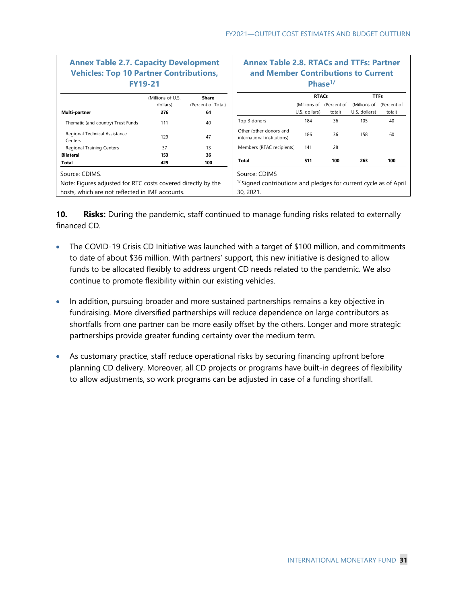| <b>Annex Table 2.7. Capacity Development</b><br><b>Vehicles: Top 10 Partner Contributions,</b> | <b>FY19-21</b>    |                    | <b>Annex Table 2.8. RTACs and TTFs: Partner</b><br>and Member Contributions to Current | Phase <sup>1</sup> |                          |               |             |
|------------------------------------------------------------------------------------------------|-------------------|--------------------|----------------------------------------------------------------------------------------|--------------------|--------------------------|---------------|-------------|
|                                                                                                | (Millions of U.S. | Share              |                                                                                        | <b>RTACs</b>       |                          | <b>TTFs</b>   |             |
|                                                                                                | dollars)          | (Percent of Total) |                                                                                        |                    | (Millions of (Percent of | (Millions of  | (Percent of |
| Multi-partner                                                                                  | 276               | 64                 |                                                                                        | U.S. dollars)      | total)                   | U.S. dollars) | total)      |
| Thematic (and country) Trust Funds                                                             | 111               | 40                 | Top 3 donors                                                                           | 184                | 36                       | 105           | 40          |
| Regional Technical Assistance<br>Centers                                                       | 129               | 47                 | Other (other donors and<br>international institutions)                                 | 186                | 36                       | 158           | 60          |
| Regional Training Centers                                                                      | 37                | 13                 | Members (RTAC recipients)                                                              | 141                | 28                       |               |             |
| <b>Bilateral</b>                                                                               | 153               | 36                 |                                                                                        |                    |                          |               |             |
| Total                                                                                          | 429               | 100                | Total                                                                                  | 511                | 100                      | 263           | 100         |
| Source: CDIMS.                                                                                 |                   |                    | Source: CDIMS                                                                          |                    |                          |               |             |
| Note: Figures adjusted for RTC costs covered directly by the                                   |                   |                    | $\frac{1}{2}$ Signed contributions and pledges for current cycle as of April           |                    |                          |               |             |
| hosts, which are not reflected in IMF accounts.                                                |                   |                    | 30, 2021.                                                                              |                    |                          |               |             |

**10. Risks:** During the pandemic, staff continued to manage funding risks related to externally financed CD.

- The COVID-19 Crisis CD Initiative was launched with a target of \$100 million, and commitments to date of about \$36 million. With partners' support, this new initiative is designed to allow funds to be allocated flexibly to address urgent CD needs related to the pandemic. We also continue to promote flexibility within our existing vehicles.
- In addition, pursuing broader and more sustained partnerships remains a key objective in fundraising. More diversified partnerships will reduce dependence on large contributors as shortfalls from one partner can be more easily offset by the others. Longer and more strategic partnerships provide greater funding certainty over the medium term.
- As customary practice, staff reduce operational risks by securing financing upfront before planning CD delivery. Moreover, all CD projects or programs have built-in degrees of flexibility to allow adjustments, so work programs can be adjusted in case of a funding shortfall.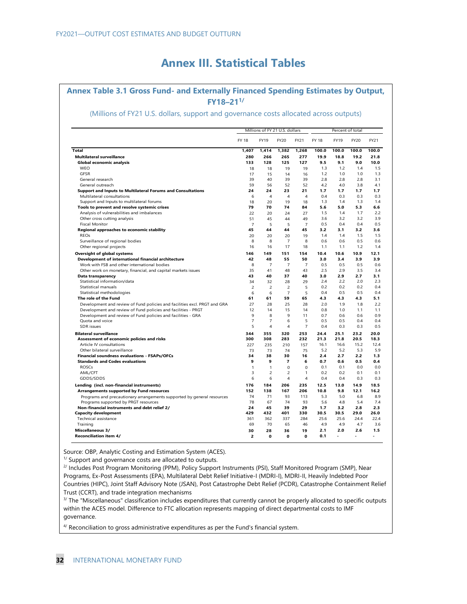# **Annex III. Statistical Tables**

# **Annex Table 3.1 Gross Fund- and Externally Financed Spending Estimates by Output, FY18–211/**

### (Millions of FY21 U.S. dollars, support and governance costs allocated across outputs)

|                                                                           |                     |                | Millions of FY 21 U.S. dollars |                |              |             | Percent of total |            |
|---------------------------------------------------------------------------|---------------------|----------------|--------------------------------|----------------|--------------|-------------|------------------|------------|
|                                                                           | <b>FY 18</b>        | <b>FY19</b>    | FY20                           | FY21           | <b>FY 18</b> | <b>FY19</b> | FY20             | FY21       |
| Total                                                                     | 1,407               | 1,414          | 1,382                          | 1,268          | 100.0        | 100.0       | 100.0            | 100.0      |
| <b>Multilateral surveillance</b>                                          | 280                 | 266            | 265                            | 277            | 19.9         | 18.8        | 19.2             | 21.8       |
| Global economic analysis                                                  | 133                 | 128            | 125                            | 127            | 9.5          | 9.1         | 9.0              | 10.0       |
| WEO                                                                       | 18                  | 18             | 19                             | 19             | 1.3          | 1.2         | 1.4              | 1.5        |
| <b>GFSR</b>                                                               | 17                  | 15             | 14                             | 16             | 1.2          | 1.0         | 1.0              | 1.3        |
| General research                                                          | 39                  | 40             | 39                             | 39             | 2.8          | 2.8         | 2.8              | 3.1        |
| General outreach                                                          | 59                  | 56             | 52                             | 52             | 4.2          | 4.0         | 3.8              | 4.1        |
| Support and Inputs to Multilateral Forums and Consultations               | 24                  | 24             | 23                             | 21             | 1.7          | 1.7         | 1.7              | 1.7        |
| Multilateral consultations                                                | 6                   | $\overline{4}$ | 4                              | 4              | 0.4          | 0.3         | 0.3              | 0.3        |
| Support and Inputs to multilateral forums                                 | 18                  | 20             | 19                             | 18             | 1.3          | 1.4         | 1.3              | 1.4        |
| Tools to prevent and resolve systemic crises                              | 79                  | 70             | 74                             | 84             | 5.6          | 5.0         | 5.3              | 6.6        |
| Analysis of vulnerabilities and imbalances                                | 22                  | 20             | 24                             | 27             | 1.5          | 1.4         | 1.7              | 2.2        |
| Other cross cutting analysis                                              | 51                  | 45             | 44                             | 49             | 3.6          | 3.2         | 3.2              | 3.9        |
| <b>Fiscal Monitor</b>                                                     | $\overline{7}$      | 5              | 5                              | $\overline{7}$ | 0.5          | 0.4         | 0.4              | 0.5        |
| Regional approaches to economic stability                                 | 45                  | 44             | 44                             | 45             | 3.2          | 3.1         | 3.2              | 3.6        |
| <b>REOs</b>                                                               | 20                  | 20             | 20                             | 19             | 1.4          | 1.4         | 1.5              | 1.5        |
| Surveillance of regional bodies                                           | 8                   | 8              | 7                              | 8              | 0.6          | 0.6         | 0.5              | 0.6        |
| Other regional projects                                                   | 16                  | 16             | 17                             | 18             | 1.1          | 1.1         | 1.2              | 1.4        |
|                                                                           | 146                 | 149            | 151                            | 154            | 10.4         | 10.6        | 10.9             | 12.1       |
| Oversight of global systems                                               |                     |                |                                |                |              |             |                  |            |
| Development of international financial architecture                       | 42                  | 48             | 55                             | 50             | 3.0<br>0.5   | 3.4<br>0.5  | 3.9<br>0.5       | 3.9<br>0.6 |
| Work with FSB and other international bodies                              | 8                   | $\overline{7}$ | $\overline{7}$                 | $\overline{7}$ |              |             |                  |            |
| Other work on monetary, financial, and capital markets issues             | 35<br>43            | 41<br>40       | 48<br>37                       | 43<br>40       | 2.5<br>3.0   | 2.9<br>2.9  | 3.5<br>2.7       | 3.4<br>3.1 |
| Data transparency                                                         |                     |                |                                |                |              | 2.2         | 2.0              | 2.3        |
| Statistical information/data<br>Statistical manuals                       | 34                  | 32<br>2        | 28                             | 29<br>5        | 2.4<br>0.2   | 0.2         | 0.2              | 0.4        |
|                                                                           | $\overline{c}$      |                | $\overline{c}$                 |                | 0.4          |             |                  |            |
| Statistical methodologies                                                 | 6<br>61             | 6<br>61        | $\overline{7}$<br>59           | 5<br>65        | 4.3          | 0.5<br>4.3  | 0.5<br>4.3       | 0.4<br>5.1 |
| The role of the Fund                                                      |                     |                |                                |                |              |             |                  |            |
| Development and review of Fund policies and facilities excl. PRGT and GRA | 27                  | 28             | 25                             | 28             | 2.0          | 1.9         | 1.8              | 2.2        |
| Development and review of Fund policies and facilities - PRGT             | 12                  | 14             | 15                             | 14             | 0.8          | 1.0         | 1.1              | 1.1        |
| Development and review of Fund policies and facilities - GRA              | 9                   | 8              | 9                              | 11             | 0.7          | 0.6         | 0.6              | 0.9        |
| Quota and voice                                                           | $\overline{7}$<br>5 | 7              | 6                              | 5              | 0.5          | 0.5         | 0.4              | 0.4        |
| <b>SDR</b> issues                                                         |                     | $\overline{4}$ | 4                              | $\overline{7}$ | 0.4          | 0.3         | 0.3              | 0.5        |
| <b>Bilateral surveillance</b>                                             | 344                 | 355            | 320                            | 253            | 24.4         | 25.1        | 23.2             | 20.0       |
| Assessment of economic policies and risks                                 | 300                 | 308            | 283                            | 232            | 21.3         | 21.8        | 20.5             | 18.3       |
| Article IV consultations                                                  | 227                 | 235            | 210                            | 157            | 16.1         | 16.6        | 15.2             | 12.4       |
| Other bilateral surveillance                                              | 73                  | 73             | 74                             | 75             | 5.2          | 5.2         | 5.3              | 5.9        |
| Financial soundness evaluations - FSAPs/OFCs                              | 34                  | 38             | 30                             | 16             | 2.4          | 2.7         | 2.2              | 1.3        |
| <b>Standards and Codes evaluations</b>                                    | 9                   | 9              | $\overline{7}$                 | 6              | 0.7          | 0.6         | 0.5              | 0.4        |
| <b>ROSCs</b>                                                              | $\mathbf{1}$        | 1              | 0                              | $\Omega$       | 0.1          | 0.1         | 0.0              | 0.0        |
| AML/CFT                                                                   | $\overline{3}$      | $\overline{2}$ | $\overline{c}$                 | $\mathbf{1}$   | 0.2          | 0.2         | 0.1              | 0.1        |
| GDDS/SDDS                                                                 | 6                   | 6              | 4                              | 4              | 0.4          | 0.4         | 0.3              | 0.3        |
| Lending (incl. non-financial instruments)                                 | 176                 | 184            | 206                            | 235            | 12.5         | 13.0        | 14.9             | 18.5       |
| Arrangements supported by Fund resources                                  | 152                 | 138            | 167                            | 206            | 10.8         | 9.8         | 12.1             | 16.2       |
| Programs and precautionary arrangements supported by general resources    | 74                  | 71             | 93                             | 113            | 5.3          | 5.0         | 6.8              | 8.9        |
| Programs supported by PRGT resources                                      | 78                  | 67             | 74                             | 93             | 5.6          | 4.8         | 5.4              | 7.4        |
| Non-financial instruments and debt relief 2/                              | 24                  | 45             | 39                             | 29             | 1.7          | 3.2         | 2.8              | 2.3        |
| <b>Capacity development</b>                                               | 429                 | 432            | 401                            | 330            | 30.5         | 30.5        | 29.0             | 26.0       |
| Technical assistance                                                      | 361                 | 362            | 337                            | 284            | 25.6         | 25.6        | 24.4             | 22.4       |
| Training                                                                  | 69                  | 70             | 65                             | 46             | 4.9          | 4.9         | 4.7              | 3.6        |
| <b>Miscellaneous 3/</b>                                                   | 30                  | 28             | 36                             | 19             | 2.1          | 2.0         | 2.6              | 1.5        |
| <b>Reconciliation item 4/</b>                                             | $\overline{2}$      | 0              | 0                              | 0              | 0.1          | ä,          | ٠                | ٠          |

Source: OBP, Analytic Costing and Estimation System (ACES).

 $1/$  Support and governance costs are allocated to outputs.

2/ Includes Post Program Monitoring (PPM), Policy Support Instruments (PSI), Staff Monitored Program (SMP), Near Programs, Ex-Post Assessments (EPA), Multilateral Debt Relief Initiative-I (MDRI-I), MDRI-II, Heavily Indebted Poor Countries (HIPC), Joint Staff Advisory Note (JSAN), Post Catastrophe Debt Relief (PCDR), Catastrophe Containment Relief

Trust (CCRT), and trade integration mechanisms<br><sup>3/</sup> The "Miscellaneous" classification includes expenditures that currently cannot be properly allocated to specific outputs within the ACES model. Difference to FTC allocation represents mapping of direct departmental costs to IMF governance.

4/ Reconciliation to gross administrative expenditures as per the Fund's financial system.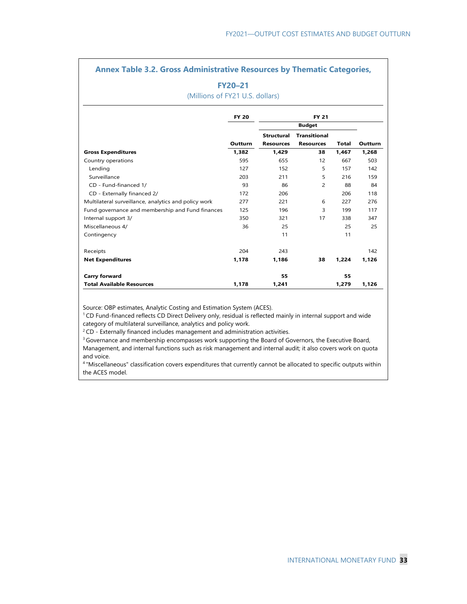## **Annex Table 3.2. Gross Administrative Resources by Thematic Categories,**

## **FY20–21**

(Millions of FY21 U.S. dollars)

|                                                      | <b>FY 20</b>   |                   | <b>FY 21</b>        |       |         |
|------------------------------------------------------|----------------|-------------------|---------------------|-------|---------|
|                                                      |                |                   | <b>Budget</b>       |       |         |
|                                                      |                | <b>Structural</b> | <b>Transitional</b> |       |         |
|                                                      | <b>Outturn</b> | <b>Resources</b>  | <b>Resources</b>    | Total | Outturn |
| <b>Gross Expenditures</b>                            | 1,382          | 1,429             | 38                  | 1,467 | 1,268   |
| Country operations                                   | 595            | 655               | 12                  | 667   | 503     |
| Lending                                              | 127            | 152               | 5                   | 157   | 142     |
| Surveillance                                         | 203            | 211               | 5                   | 216   | 159     |
| CD - Fund-financed 1/                                | 93             | 86                | $\overline{2}$      | 88    | 84      |
| CD - Externally financed 2/                          | 172            | 206               |                     | 206   | 118     |
| Multilateral surveillance, analytics and policy work | 277            | 221               | 6                   | 227   | 276     |
| Fund governance and membership and Fund finances     | 125            | 196               | 3                   | 199   | 117     |
| Internal support 3/                                  | 350            | 321               | 17                  | 338   | 347     |
| Miscellaneous 4/                                     | 36             | 25                |                     | 25    | 25      |
| Contingency                                          |                | 11                |                     | 11    |         |
| Receipts                                             | 204            | 243               |                     |       | 142     |
| <b>Net Expenditures</b>                              | 1,178          | 1,186             | 38                  | 1,224 | 1,126   |
| <b>Carry forward</b>                                 |                | 55                |                     | 55    |         |
| <b>Total Available Resources</b>                     | 1,178          | 1,241             |                     | 1,279 | 1,126   |

Source: OBP estimates, Analytic Costing and Estimation System (ACES).

1 CD Fund-financed reflects CD Direct Delivery only, residual is reflected mainly in internal support and wide category of multilateral surveillance, analytics and policy work.

<sup>2</sup> CD - Externally financed includes management and administration activities.

<sup>3</sup> Governance and membership encompasses work supporting the Board of Governors, the Executive Board, Management, and internal functions such as risk management and internal audit; it also covers work on quota and voice.

4 "Miscellaneous" classification covers expenditures that currently cannot be allocated to specific outputs within the ACES model.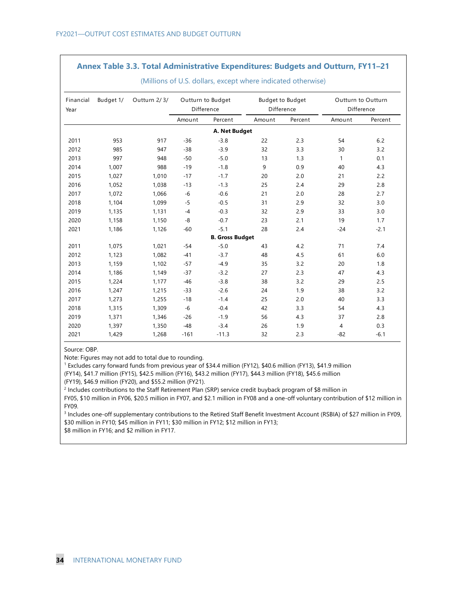### **Annex Table 3.3. Total Administrative Expenditures: Budgets and Outturn, FY11–21**

| Financial<br>Year | Budget 1/ | Outturn 2/3/ |        | Outturn to Budget<br>Difference | <b>Budget to Budget</b><br>Difference |         | Outturn to Outturn | Difference |
|-------------------|-----------|--------------|--------|---------------------------------|---------------------------------------|---------|--------------------|------------|
|                   |           |              | Amount | Percent                         | Amount                                | Percent | Amount             | Percent    |
|                   |           |              |        | A. Net Budget                   |                                       |         |                    |            |
| 2011              | 953       | 917          | $-36$  | $-3.8$                          | 22                                    | 2.3     | 54                 | 6.2        |
| 2012              | 985       | 947          | $-38$  | $-3.9$                          | 32                                    | 3.3     | 30                 | 3.2        |
| 2013              | 997       | 948          | $-50$  | $-5.0$                          | 13                                    | 1.3     | $\mathbf{1}$       | 0.1        |
| 2014              | 1,007     | 988          | $-19$  | $-1.8$                          | 9                                     | 0.9     | 40                 | 4.3        |
| 2015              | 1,027     | 1,010        | $-17$  | $-1.7$                          | 20                                    | 2.0     | 21                 | 2.2        |
| 2016              | 1.052     | 1,038        | $-13$  | $-1.3$                          | 25                                    | 2.4     | 29                 | 2.8        |
| 2017              | 1,072     | 1,066        | $-6$   | $-0.6$                          | 21                                    | 2.0     | 28                 | 2.7        |
| 2018              | 1,104     | 1,099        | $-5$   | $-0.5$                          | 31                                    | 2.9     | 32                 | 3.0        |
| 2019              | 1,135     | 1,131        | $-4$   | $-0.3$                          | 32                                    | 2.9     | 33                 | 3.0        |
| 2020              | 1,158     | 1,150        | -8     | $-0.7$                          | 23                                    | 2.1     | 19                 | 1.7        |
| 2021              | 1,186     | 1,126        | $-60$  | $-5.1$                          | 28                                    | 2.4     | $-24$              | $-2.1$     |
|                   |           |              |        | <b>B. Gross Budget</b>          |                                       |         |                    |            |
| 2011              | 1,075     | 1,021        | $-54$  | $-5.0$                          | 43                                    | 4.2     | 71                 | 7.4        |
| 2012              | 1,123     | 1.082        | $-41$  | $-3.7$                          | 48                                    | 4.5     | 61                 | 6.0        |
| 2013              | 1,159     | 1,102        | $-57$  | $-4.9$                          | 35                                    | 3.2     | 20                 | 1.8        |
| 2014              | 1,186     | 1,149        | $-37$  | $-3.2$                          | 27                                    | 2.3     | 47                 | 4.3        |
| 2015              | 1,224     | 1,177        | $-46$  | $-3.8$                          | 38                                    | 3.2     | 29                 | 2.5        |
| 2016              | 1,247     | 1,215        | $-33$  | $-2.6$                          | 24                                    | 1.9     | 38                 | 3.2        |
| 2017              | 1,273     | 1,255        | $-18$  | $-1.4$                          | 25                                    | 2.0     | 40                 | 3.3        |
| 2018              | 1,315     | 1,309        | $-6$   | $-0.4$                          | 42                                    | 3.3     | 54                 | 4.3        |
| 2019              | 1,371     | 1,346        | $-26$  | $-1.9$                          | 56                                    | 4.3     | 37                 | 2.8        |
| 2020              | 1,397     | 1,350        | $-48$  | $-3.4$                          | 26                                    | 1.9     | $\overline{4}$     | 0.3        |
| 2021              | 1,429     | 1,268        | $-161$ | $-11.3$                         | 32                                    | 2.3     | $-82$              | $-6.1$     |

(Millions of U.S. dollars, except where indicated otherwise)

Source: OBP.

Note: Figures may not add to total due to rounding.

1 Excludes carry forward funds from previous year of \$34.4 million (FY12), \$40.6 million (FY13), \$41.9 million

(FY14), \$41.7 million (FY15), \$42.5 million (FY16), \$43.2 million (FY17), \$44.3 million (FY18), \$45.6 million

(FY19), \$46.9 million (FY20), and \$55.2 million (FY21).

2 Includes contributions to the Staff Retirement Plan (SRP) service credit buyback program of \$8 million in FY05, \$10 million in FY06, \$20.5 million in FY07, and \$2.1 million in FY08 and a one-off voluntary contribution of \$12 million in FY09.

3 Includes one-off supplementary contributions to the Retired Staff Benefit Investment Account (RSBIA) of \$27 million in FY09, \$30 million in FY10; \$45 million in FY11; \$30 million in FY12; \$12 million in FY13;

\$8 million in FY16; and \$2 million in FY17.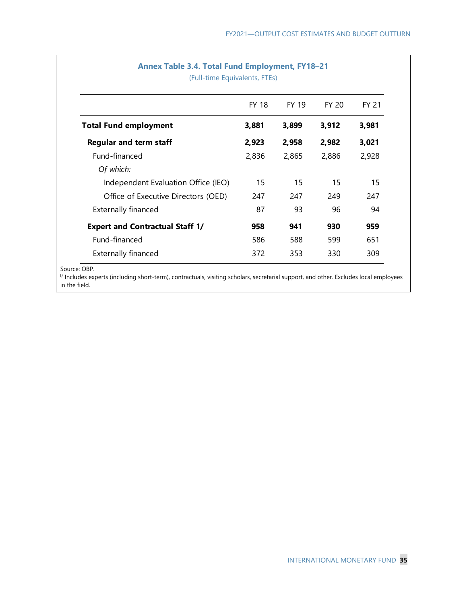|                                        | <b>FY 18</b> | FY 19 | FY 20 | <b>FY 21</b> |
|----------------------------------------|--------------|-------|-------|--------------|
| <b>Total Fund employment</b>           | 3,881        | 3,899 | 3,912 | 3,981        |
| <b>Regular and term staff</b>          | 2,923        | 2,958 | 2,982 | 3,021        |
| Fund-financed                          | 2,836        | 2,865 | 2,886 | 2,928        |
| Of which:                              |              |       |       |              |
| Independent Evaluation Office (IEO)    | 15           | 15    | 15    | 15           |
| Office of Executive Directors (OED)    | 247          | 247   | 249   | 247          |
| <b>Externally financed</b>             | 87           | 93    | 96    | 94           |
| <b>Expert and Contractual Staff 1/</b> | 958          | 941   | 930   | 959          |
| Fund-financed                          | 586          | 588   | 599   | 651          |
| <b>Externally financed</b>             | 372          | 353   | 330   | 309          |

Source: OBP.

1/ Includes experts (including short-term), contractuals, visiting scholars, secretarial support, and other. Excludes local employees in the field.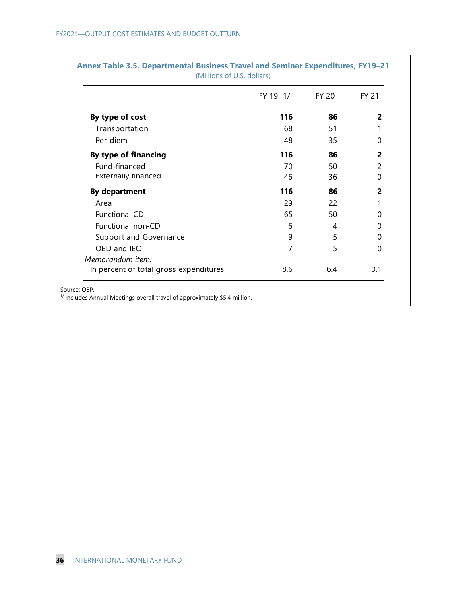|                                        | FY 19 1/ | FY 20 | <b>FY 21</b> |
|----------------------------------------|----------|-------|--------------|
| By type of cost                        | 116      | 86    | 2            |
| Transportation                         | 68       | 51    |              |
| Per diem                               | 48       | 35    | 0            |
| By type of financing                   | 116      | 86    | 2            |
| Fund-financed                          | 70       | 50    | 2            |
| Externally financed                    | 46       | 36    | $\mathbf{0}$ |
| <b>By department</b>                   | 116      | 86    | 2            |
| Area                                   | 29       | 22    |              |
| Functional CD                          | 65       | 50    | 0            |
| Functional non-CD                      | 6        | 4     | 0            |
| Support and Governance                 | 9        | 5     | 0            |
| OED and IEO                            | 7        | 5     | $\mathbf{0}$ |
| Memorandum item:                       |          |       |              |
| In percent of total gross expenditures | 8.6      | 6.4   | 0.1          |